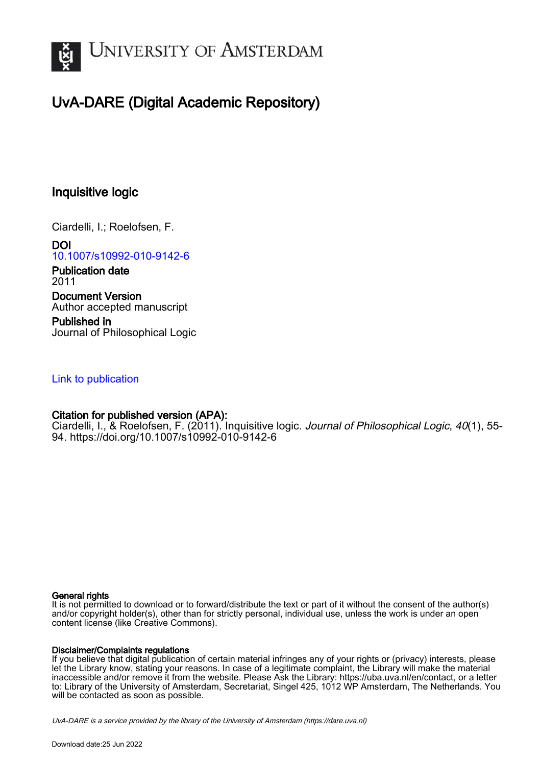

# UvA-DARE (Digital Academic Repository)

## Inquisitive logic

Ciardelli, I.; Roelofsen, F.

DOI [10.1007/s10992-010-9142-6](https://doi.org/10.1007/s10992-010-9142-6)

Publication date 2011 Document Version Author accepted manuscript

Published in Journal of Philosophical Logic

## [Link to publication](https://dare.uva.nl/personal/pure/en/publications/inquisitive-logic(390649da-849f-45af-a7a2-dc9e37e41d23).html)

## Citation for published version (APA):

Ciardelli, I., & Roelofsen, F. (2011). Inquisitive logic. Journal of Philosophical Logic, 40(1), 55- 94. <https://doi.org/10.1007/s10992-010-9142-6>

### General rights

It is not permitted to download or to forward/distribute the text or part of it without the consent of the author(s) and/or copyright holder(s), other than for strictly personal, individual use, unless the work is under an open content license (like Creative Commons).

### Disclaimer/Complaints regulations

If you believe that digital publication of certain material infringes any of your rights or (privacy) interests, please let the Library know, stating your reasons. In case of a legitimate complaint, the Library will make the material inaccessible and/or remove it from the website. Please Ask the Library: https://uba.uva.nl/en/contact, or a letter to: Library of the University of Amsterdam, Secretariat, Singel 425, 1012 WP Amsterdam, The Netherlands. You will be contacted as soon as possible.

UvA-DARE is a service provided by the library of the University of Amsterdam (http*s*://dare.uva.nl)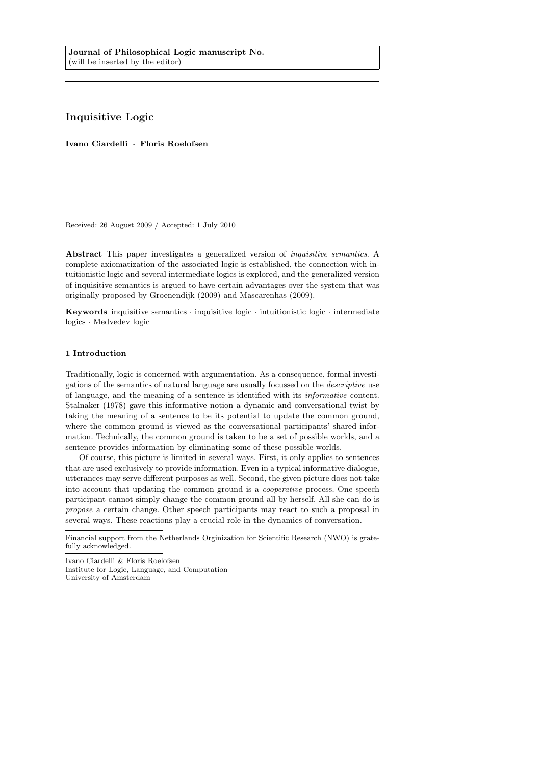### Inquisitive Logic

Ivano Ciardelli · Floris Roelofsen

Received: 26 August 2009 / Accepted: 1 July 2010

Abstract This paper investigates a generalized version of *inquisitive semantics*. A complete axiomatization of the associated logic is established, the connection with intuitionistic logic and several intermediate logics is explored, and the generalized version of inquisitive semantics is argued to have certain advantages over the system that was originally proposed by [Groenendijk](#page-33-0) [\(2009\)](#page-33-0) and [Mascarenhas](#page-33-1) [\(2009\)](#page-33-1).

**Keywords** inquisitive semantics  $\cdot$  inquisitive logic  $\cdot$  intuitionistic logic  $\cdot$  intermediate logics · Medvedev logic

#### 1 Introduction

Traditionally, logic is concerned with argumentation. As a consequence, formal investigations of the semantics of natural language are usually focussed on the descriptive use of language, and the meaning of a sentence is identified with its informative content. [Stalnaker](#page-33-2) [\(1978\)](#page-33-2) gave this informative notion a dynamic and conversational twist by taking the meaning of a sentence to be its potential to update the common ground, where the common ground is viewed as the conversational participants' shared information. Technically, the common ground is taken to be a set of possible worlds, and a sentence provides information by eliminating some of these possible worlds.

Of course, this picture is limited in several ways. First, it only applies to sentences that are used exclusively to provide information. Even in a typical informative dialogue, utterances may serve different purposes as well. Second, the given picture does not take into account that updating the common ground is a cooperative process. One speech participant cannot simply change the common ground all by herself. All she can do is propose a certain change. Other speech participants may react to such a proposal in several ways. These reactions play a crucial role in the dynamics of conversation.

Ivano Ciardelli & Floris Roelofsen Institute for Logic, Language, and Computation University of Amsterdam

Financial support from the Netherlands Orginization for Scientific Research (NWO) is gratefully acknowledged.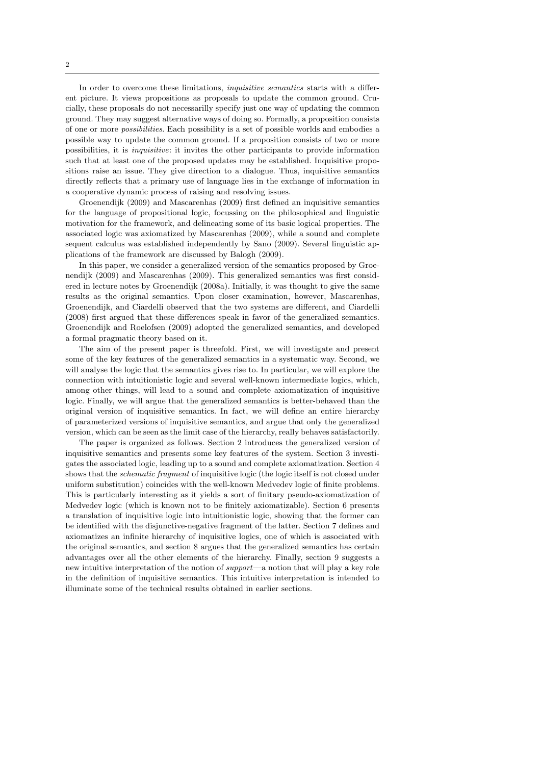In order to overcome these limitations, *inquisitive semantics* starts with a different picture. It views propositions as proposals to update the common ground. Crucially, these proposals do not necessarilly specify just one way of updating the common ground. They may suggest alternative ways of doing so. Formally, a proposition consists of one or more possibilities. Each possibility is a set of possible worlds and embodies a possible way to update the common ground. If a proposition consists of two or more possibilities, it is inquisitive: it invites the other participants to provide information such that at least one of the proposed updates may be established. Inquisitive propositions raise an issue. They give direction to a dialogue. Thus, inquisitive semantics directly reflects that a primary use of language lies in the exchange of information in a cooperative dynamic process of raising and resolving issues.

[Groenendijk](#page-33-0) [\(2009\)](#page-33-0) and [Mascarenhas](#page-33-1) [\(2009\)](#page-33-1) first defined an inquisitive semantics for the language of propositional logic, focussing on the philosophical and linguistic motivation for the framework, and delineating some of its basic logical properties. The associated logic was axiomatized by [Mascarenhas](#page-33-1) [\(2009\)](#page-33-1), while a sound and complete sequent calculus was established independently by [Sano](#page-33-3) [\(2009\)](#page-33-3). Several linguistic applications of the framework are discussed by [Balogh](#page-33-4) [\(2009\)](#page-33-4).

In this paper, we consider a generalized version of the semantics proposed by [Groe](#page-33-0)[nendijk](#page-33-0) [\(2009\)](#page-33-0) and [Mascarenhas](#page-33-1) [\(2009\)](#page-33-1). This generalized semantics was first considered in lecture notes by [Groenendijk](#page-33-5) [\(2008a\)](#page-33-5). Initially, it was thought to give the same results as the original semantics. Upon closer examination, however, Mascarenhas, Groenendijk, and Ciardelli observed that the two systems are different, and [Ciardelli](#page-33-6) [\(2008\)](#page-33-6) first argued that these differences speak in favor of the generalized semantics. [Groenendijk and Roelofsen](#page-33-7) [\(2009\)](#page-33-7) adopted the generalized semantics, and developed a formal pragmatic theory based on it.

The aim of the present paper is threefold. First, we will investigate and present some of the key features of the generalized semantics in a systematic way. Second, we will analyse the logic that the semantics gives rise to. In particular, we will explore the connection with intuitionistic logic and several well-known intermediate logics, which, among other things, will lead to a sound and complete axiomatization of inquisitive logic. Finally, we will argue that the generalized semantics is better-behaved than the original version of inquisitive semantics. In fact, we will define an entire hierarchy of parameterized versions of inquisitive semantics, and argue that only the generalized version, which can be seen as the limit case of the hierarchy, really behaves satisfactorily.

The paper is organized as follows. Section [2](#page-3-0) introduces the generalized version of inquisitive semantics and presents some key features of the system. Section [3](#page-9-0) investigates the associated logic, leading up to a sound and complete axiomatization. Section [4](#page-18-0) shows that the *schematic fragment* of inquisitive logic (the logic itself is not closed under uniform substitution) coincides with the well-known Medvedev logic of finite problems. This is particularly interesting as it yields a sort of finitary pseudo-axiomatization of Medvedev logic (which is known not to be finitely axiomatizable). Section [6](#page-23-0) presents a translation of inquisitive logic into intuitionistic logic, showing that the former can be identified with the disjunctive-negative fragment of the latter. Section [7](#page-25-0) defines and axiomatizes an infinite hierarchy of inquisitive logics, one of which is associated with the original semantics, and section [8](#page-28-0) argues that the generalized semantics has certain advantages over all the other elements of the hierarchy. Finally, section [9](#page-29-0) suggests a new intuitive interpretation of the notion of support—a notion that will play a key role in the definition of inquisitive semantics. This intuitive interpretation is intended to illuminate some of the technical results obtained in earlier sections.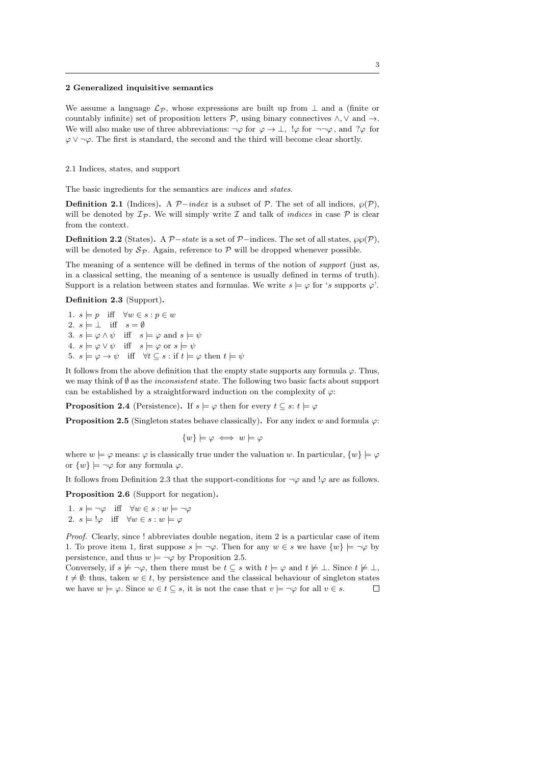#### <span id="page-3-0"></span>2 Generalized inquisitive semantics

We assume a language  $\mathcal{L}_{\mathcal{P}}$ , whose expressions are built up from  $\perp$  and a (finite or countably infinite) set of proposition letters  $\mathcal{P}$ , using binary connectives  $\wedge$ ,  $\vee$  and  $\rightarrow$ . We will also make use of three abbreviations:  $\neg \varphi$  for  $\varphi \to \bot$ ,  $\psi$  for  $\neg \neg \varphi$ , and  $\psi \varphi$  for  $\varphi \vee \neg \varphi$ . The first is standard, the second and the third will become clear shortly.

#### 2.1 Indices, states, and support

The basic ingredients for the semantics are indices and states.

**Definition 2.1** (Indices). A  $\mathcal{P}-index$  is a subset of  $\mathcal{P}$ . The set of all indices,  $\varphi(\mathcal{P})$ , will be denoted by  $\mathcal{I}_{\mathcal{P}}$ . We will simply write  $\mathcal{I}$  and talk of *indices* in case  $\mathcal{P}$  is clear from the context.

**Definition 2.2** (States). A  $\mathcal{P}-state$  is a set of  $\mathcal{P}-indices$ . The set of all states,  $\wp(\mathcal{P})$ , will be denoted by  $\mathcal{S}_{\mathcal{P}}$ . Again, reference to  $\mathcal{P}$  will be dropped whenever possible.

The meaning of a sentence will be defined in terms of the notion of *support* (just as, in a classical setting, the meaning of a sentence is usually defined in terms of truth). Support is a relation between states and formulas. We write  $s \models \varphi$  for 's supports  $\varphi'$ .

<span id="page-3-1"></span>Definition 2.3 (Support).

1.  $s \models p$  iff  $\forall w \in s : p \in w$ 2.  $s \models \bot$  iff  $s = \emptyset$ 3.  $s \models \varphi \land \psi$  iff  $s \models \varphi$  and  $s \models \psi$ 4.  $s \models \varphi \lor \psi$  iff  $s \models \varphi$  or  $s \models \psi$ 5.  $s \models \varphi \rightarrow \psi$  iff  $\forall t \subseteq s : \text{if } t \models \varphi \text{ then } t \models \psi$ 

It follows from the above definition that the empty state supports any formula  $\varphi$ . Thus, we may think of  $\emptyset$  as the *inconsistent* state. The following two basic facts about support can be established by a straightforward induction on the complexity of  $\varphi$ :

**Proposition 2.4** (Persistence). If  $s \models \varphi$  then for every  $t \subseteq s$ :  $t \models \varphi$ 

<span id="page-3-2"></span>**Proposition 2.5** (Singleton states behave classically). For any index w and formula  $\varphi$ :

$$
\{w\} \models \varphi \iff w \models \varphi
$$

where  $w \models \varphi$  means:  $\varphi$  is classically true under the valuation w. In particular,  $\{w\} \models \varphi$ or  $\{w\} \models \neg \varphi$  for any formula  $\varphi$ .

It follows from Definition [2.3](#page-3-1) that the support-conditions for  $\neg \varphi$  and  $\varphi$  are as follows.

<span id="page-3-3"></span>Proposition 2.6 (Support for negation).

1.  $s \models \neg \varphi$  iff  $\forall w \in s : w \models \neg \varphi$ 2.  $s \models !\varphi \text{ iff } \forall w \in s : w \models \varphi$ 

Proof. Clearly, since ! abbreviates double negation, item 2 is a particular case of item 1. To prove item 1, first suppose  $s \models \neg \varphi$ . Then for any  $w \in s$  we have  $\{w\} \models \neg \varphi$  by persistence, and thus  $w \models \neg \varphi$  by Proposition [2.5.](#page-3-2)

Conversely, if  $s \not\models \neg \varphi$ , then there must be  $t \subseteq s$  with  $t \models \varphi$  and  $t \not\models \bot$ . Since  $t \not\models \bot$ ,  $t \neq \emptyset$ : thus, taken  $w \in t$ , by persistence and the classical behaviour of singleton states we have  $w \models \varphi$ . Since  $w \in t \subseteq s$ , it is not the case that  $v \models \neg \varphi$  for all  $v \in s$ .  $\Box$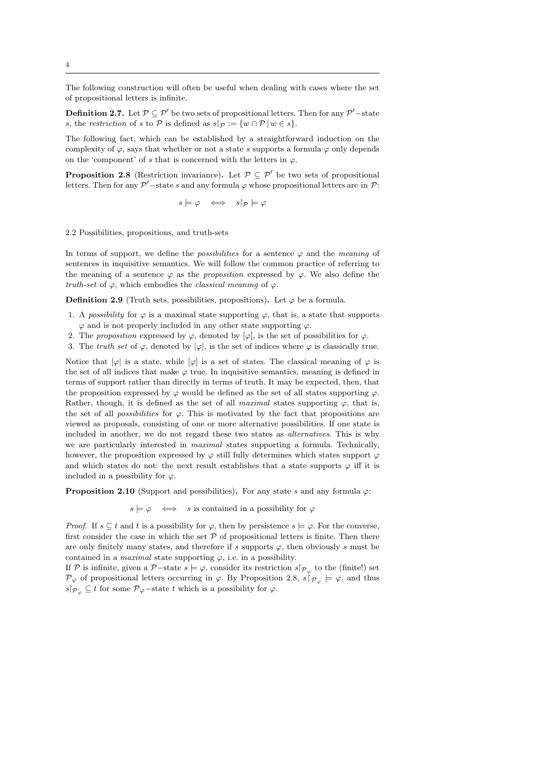The following construction will often be useful when dealing with cases where the set of propositional letters is infinite.

**Definition 2.7.** Let  $\mathcal{P} \subseteq \mathcal{P}'$  be two sets of propositional letters. Then for any  $\mathcal{P}'$ -state s, the restriction of s to P is defined as  $s\upharpoonright p := \{w \cap P \mid w \in s\}.$ 

The following fact, which can be established by a straightforward induction on the complexity of  $\varphi$ , says that whether or not a state s supports a formula  $\varphi$  only depends on the 'component' of s that is concerned with the letters in  $\varphi$ .

<span id="page-4-0"></span>**Proposition 2.8** (Restriction invariance). Let  $\mathcal{P} \subseteq \mathcal{P}'$  be two sets of propositional letters. Then for any  $\mathcal{P}'$  –state s and any formula  $\varphi$  whose propositional letters are in  $\mathcal{P}'$ :

$$
s \models \varphi \iff s \upharpoonright_{\mathcal{P}} \models \varphi
$$

2.2 Possibilities, propositions, and truth-sets

In terms of support, we define the *possibilities* for a sentence  $\varphi$  and the *meaning* of sentences in inquisitive semantics. We will follow the common practice of referring to the meaning of a sentence  $\varphi$  as the proposition expressed by  $\varphi$ . We also define the truth-set of  $\varphi$ , which embodies the *classical meaning* of  $\varphi$ .

**Definition 2.9** (Truth sets, possibilities, propositions). Let  $\varphi$  be a formula.

- 1. A possibility for  $\varphi$  is a maximal state supporting  $\varphi$ , that is, a state that supports  $\varphi$  and is not properly included in any other state supporting  $\varphi$ .
- 2. The proposition expressed by  $\varphi$ , denoted by  $[\varphi]$ , is the set of possibilities for  $\varphi$ .
- 3. The truth set of  $\varphi$ , denoted by  $|\varphi|$ , is the set of indices where  $\varphi$  is classically true.

Notice that  $|\varphi|$  is a state, while  $|\varphi|$  is a set of states. The classical meaning of  $\varphi$  is the set of all indices that make  $\varphi$  true. In inquisitive semantics, meaning is defined in terms of support rather than directly in terms of truth. It may be expected, then, that the proposition expressed by  $\varphi$  would be defined as the set of all states supporting  $\varphi$ . Rather, though, it is defined as the set of all maximal states supporting  $\varphi$ , that is, the set of all *possibilities* for  $\varphi$ . This is motivated by the fact that propositions are viewed as proposals, consisting of one or more alternative possibilities. If one state is included in another, we do not regard these two states as alternatives. This is why we are particularly interested in *maximal* states supporting a formula. Technically, however, the proposition expressed by  $\varphi$  still fully determines which states support  $\varphi$ and which states do not: the next result establishes that a state supports  $\varphi$  iff it is included in a possibility for  $\varphi$ .

<span id="page-4-1"></span>**Proposition 2.10** (Support and possibilities). For any state s and any formula  $\varphi$ :

 $s \models \varphi \iff s$  is contained in a possibility for  $\varphi$ 

*Proof.* If  $s \subseteq t$  and t is a possibility for  $\varphi$ , then by persistence  $s \models \varphi$ . For the converse, first consider the case in which the set  $P$  of propositional letters is finite. Then there are only finitely many states, and therefore if s supports  $\varphi$ , then obviously s must be contained in a *maximal* state supporting  $\varphi$ , i.e. in a possibility.

If P is infinite, given a P-state  $s \models \varphi$ , consider its restriction  $s \not\upharpoonright_{\mathcal{P}_{\varphi}}$  to the (finite!) set  $\mathcal{P}_{\varphi}$  of propositional letters occurring in  $\varphi$ . By Proposition [2.8,](#page-4-0)  $s\upharpoonright_{\mathcal{P}_{\varphi}} \models \varphi$ , and thus  $s\vert_{\mathcal{P}_{\varphi}} \subseteq t$  for some  $\mathcal{P}_{\varphi}$ -state t which is a possibility for  $\varphi$ .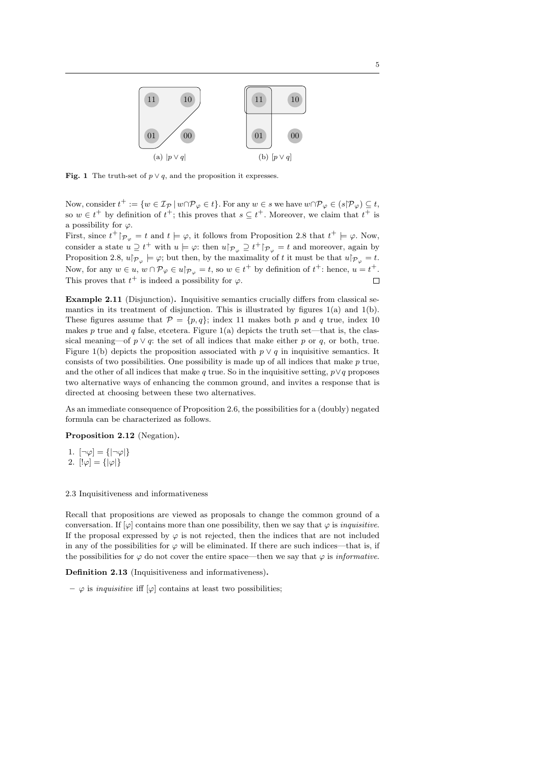<span id="page-5-1"></span><span id="page-5-0"></span>

Fig. 1 The truth-set of  $p \vee q$ , and the proposition it expresses.

Now, consider  $t^+ := \{w \in \mathcal{I}_{\mathcal{P}} \mid w \cap \mathcal{P}_{\varphi} \in t\}$ . For any  $w \in s$  we have  $w \cap \mathcal{P}_{\varphi} \in (s | \mathcal{P}_{\varphi}) \subseteq t$ , so  $w \in t^+$  by definition of  $t^+$ ; this proves that  $s \subseteq t^+$ . Moreover, we claim that  $t^+$  is a possibility for  $\varphi$ .

First, since  $t^+{\upharpoonright}_{\mathcal{P}_{\varphi}}=t$  and  $t\models\varphi$ , it follows from Proposition [2.8](#page-4-0) that  $t^+ \models\varphi$ . Now, consider a state  $u \supseteq t^+$  with  $u \models \varphi$ : then  $u \not\upharpoonright_{\mathcal{P}_{\varphi}} \supseteq t^+ \upharpoonright_{\mathcal{P}_{\varphi}} = t$  and moreover, again by Proposition [2.8,](#page-4-0)  $u|_{\mathcal{P}_{\varphi}} \models \varphi$ ; but then, by the maximality of t it must be that  $u|_{\mathcal{P}_{\varphi}} = t$ . Now, for any  $w \in u$ ,  $w \cap \mathcal{P}_{\varphi} \in u|_{\mathcal{P}_{\varphi}} = t$ , so  $w \in t^+$  by definition of  $t^+$ : hence,  $u = t^+$ . This proves that  $t^+$  is indeed a possibility for  $\varphi$ .  $\Box$ 

Example 2.11 (Disjunction). Inquisitive semantics crucially differs from classical semantics in its treatment of disjunction. This is illustrated by figures [1\(a\)](#page-5-0) and [1\(b\).](#page-5-1) These figures assume that  $\mathcal{P} = \{p, q\}$ ; index 11 makes both p and q true, index 10 makes p true and q false, etcetera. Figure  $1(a)$  depicts the truth set—that is, the classical meaning—of  $p \vee q$ : the set of all indices that make either p or q, or both, true. Figure [1\(b\)](#page-5-1) depicts the proposition associated with  $p \vee q$  in inquisitive semantics. It consists of two possibilities. One possibility is made up of all indices that make  $p$  true, and the other of all indices that make q true. So in the inquisitive setting,  $p \lor q$  proposes two alternative ways of enhancing the common ground, and invites a response that is directed at choosing between these two alternatives.

As an immediate consequence of Proposition [2.6,](#page-3-3) the possibilities for a (doubly) negated formula can be characterized as follows.

<span id="page-5-2"></span>Proposition 2.12 (Negation).

- 1.  $[\neg \varphi] = \{|\neg \varphi|\}$ 2.  $[!\varphi] = \{|\varphi|\}$
- 2.3 Inquisitiveness and informativeness

Recall that propositions are viewed as proposals to change the common ground of a conversation. If  $[\varphi]$  contains more than one possibility, then we say that  $\varphi$  is *inquisitive.* If the proposal expressed by  $\varphi$  is not rejected, then the indices that are not included in any of the possibilities for  $\varphi$  will be eliminated. If there are such indices—that is, if the possibilities for  $\varphi$  do not cover the entire space—then we say that  $\varphi$  is *informative*.

Definition 2.13 (Inquisitiveness and informativeness).

 $-\varphi$  is *inquisitive* iff  $[\varphi]$  contains at least two possibilities;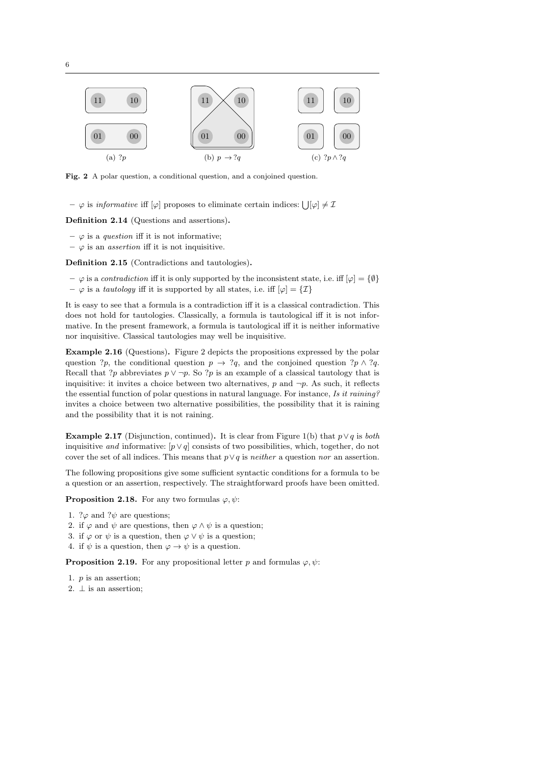

<span id="page-6-0"></span>Fig. 2 A polar question, a conditional question, and a conjoined question.

 $-\varphi$  is *informative* iff  $[\varphi]$  proposes to eliminate certain indices:  $\bigcup [\varphi] \neq \mathcal{I}$ 

Definition 2.14 (Questions and assertions).

- $-\varphi$  is a *question* iff it is not informative;
- $-\varphi$  is an *assertion* iff it is not inquisitive.

Definition 2.15 (Contradictions and tautologies).

 $-\varphi$  is a *contradiction* iff it is only supported by the inconsistent state, i.e. iff  $[\varphi] = {\varnothing}$ –  $\varphi$  is a tautology iff it is supported by all states, i.e. iff  $[\varphi] = {\mathcal{I}}$ 

It is easy to see that a formula is a contradiction iff it is a classical contradiction. This does not hold for tautologies. Classically, a formula is tautological iff it is not informative. In the present framework, a formula is tautological iff it is neither informative nor inquisitive. Classical tautologies may well be inquisitive.

Example 2.16 (Questions). Figure [2](#page-6-0) depicts the propositions expressed by the polar question ?p, the conditional question  $p \rightarrow ?q$ , and the conjoined question ?p  $\land$  ?q. Recall that ?p abbreviates  $p \vee \neg p$ . So ?p is an example of a classical tautology that is inquisitive: it invites a choice between two alternatives,  $p$  and  $\neg p$ . As such, it reflects the essential function of polar questions in natural language. For instance, Is it raining? invites a choice between two alternative possibilities, the possibility that it is raining and the possibility that it is not raining.

**Example 2.17** (Disjunction, continued). It is clear from Figure [1\(b\)](#page-5-1) that  $p \vee q$  is *both* inquisitive and informative:  $[p \lor q]$  consists of two possibilities, which, together, do not cover the set of all indices. This means that  $p \lor q$  is neither a question nor an assertion.

The following propositions give some sufficient syntactic conditions for a formula to be a question or an assertion, respectively. The straightforward proofs have been omitted.

**Proposition 2.18.** For any two formulas  $\varphi, \psi$ :

- 1.  $\partial \varphi$  and  $\partial \psi$  are questions;
- 2. if  $\varphi$  and  $\psi$  are questions, then  $\varphi \wedge \psi$  is a question;
- 3. if  $\varphi$  or  $\psi$  is a question, then  $\varphi \vee \psi$  is a question;
- 4. if  $\psi$  is a question, then  $\varphi \to \psi$  is a question.

<span id="page-6-1"></span>**Proposition 2.19.** For any propositional letter p and formulas  $\varphi, \psi$ :

- 1. p is an assertion;
- 2.  $\perp$  is an assertion;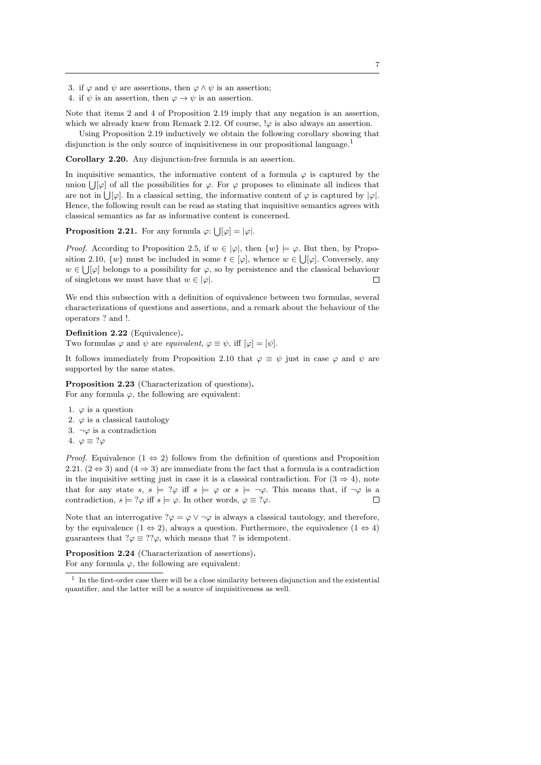3. if  $\varphi$  and  $\psi$  are assertions, then  $\varphi \wedge \psi$  is an assertion;

4. if  $\psi$  is an assertion, then  $\varphi \to \psi$  is an assertion.

Note that items 2 and 4 of Proposition [2.19](#page-6-1) imply that any negation is an assertion, which we already knew from Remark [2.12.](#page-5-2) Of course,  $\varphi$  is also always an assertion.

Using Proposition [2.19](#page-6-1) inductively we obtain the following corollary showing that disjunction is the only source of inquisitiveness in our propositional language.<sup>[1](#page-7-0)</sup>

<span id="page-7-3"></span>Corollary 2.20. Any disjunction-free formula is an assertion.

In inquisitive semantics, the informative content of a formula  $\varphi$  is captured by the union  $\bigcup[\varphi]$  of all the possibilities for  $\varphi$ . For  $\varphi$  proposes to eliminate all indices that are not in  $\bigcup[\varphi]$ . In a classical setting, the informative content of  $\varphi$  is captured by  $|\varphi|$ . Hence, the following result can be read as stating that inquisitive semantics agrees with classical semantics as far as informative content is concerned.

<span id="page-7-1"></span>**Proposition 2.21.** For any formula  $\varphi: \bigcup [\varphi] = |\varphi|$ .

*Proof.* According to Proposition [2.5,](#page-3-2) if  $w \in |\varphi|$ , then  $\{w\} \models \varphi$ . But then, by Propo-sition [2.10,](#page-4-1)  $\{w\}$  must be included in some  $t \in [\varphi]$ , whence  $w \in \bigcup [\varphi]$ . Conversely, any  $w \in \bigcup [\varphi]$  belongs to a possibility for  $\varphi$ , so by persistence and the classical behaviour of singletons we must have that  $w \in |\varphi|$ . П

We end this subsection with a definition of equivalence between two formulas, several characterizations of questions and assertions, and a remark about the behaviour of the operators ? and !.

Definition 2.22 (Equivalence).

Two formulas  $\varphi$  and  $\psi$  are equivalent,  $\varphi \equiv \psi$ , iff  $[\varphi] = [\psi]$ .

It follows immediately from Proposition [2.10](#page-4-1) that  $\varphi \equiv \psi$  just in case  $\varphi$  and  $\psi$  are supported by the same states.

Proposition 2.23 (Characterization of questions). For any formula  $\varphi$ , the following are equivalent:

1.  $\varphi$  is a question 2.  $\varphi$  is a classical tautology 3.  $\neg \varphi$  is a contradiction 4.  $\varphi \equiv ?\varphi$ 

*Proof.* Equivalence  $(1 \Leftrightarrow 2)$  follows from the definition of questions and Proposition [2.21.](#page-7-1)  $(2 \Leftrightarrow 3)$  and  $(4 \Rightarrow 3)$  are immediate from the fact that a formula is a contradiction in the inquisitive setting just in case it is a classical contradiction. For  $(3 \Rightarrow 4)$ , note that for any state s,  $s = ?\varphi$  iff  $s \models \varphi$  or  $s \models \neg \varphi$ . This means that, if  $\neg \varphi$  is a contradiction,  $s \models ?\varphi$  iff  $s \models \varphi$ . In other words,  $\varphi \equiv ?\varphi$ .  $\Box$ 

Note that an interrogative  $\partial \varphi = \varphi \vee \neg \varphi$  is always a classical tautology, and therefore, by the equivalence  $(1 \Leftrightarrow 2)$ , always a question. Furthermore, the equivalence  $(1 \Leftrightarrow 4)$ guarantees that  $?\varphi \equiv ??\varphi$ , which means that ? is idempotent.

<span id="page-7-2"></span>Proposition 2.24 (Characterization of assertions). For any formula  $\varphi$ , the following are equivalent:

<span id="page-7-0"></span><sup>&</sup>lt;sup>1</sup> In the first-order case there will be a close similarity between disjunction and the existential quantifier, and the latter will be a source of inquisitiveness as well.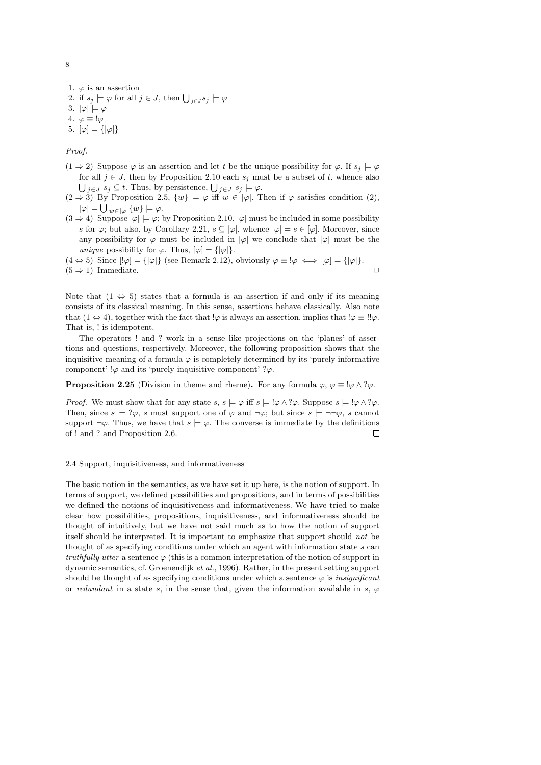1.  $\varphi$  is an assertion

2. if  $s_j \models \varphi$  for all  $j \in J$ , then  $\bigcup_{j \in J} s_j \models \varphi$ 

3.  $|\varphi| \models \varphi$ 

4.  $\varphi \equiv !\varphi$ 

5.  $[\varphi] = {\{|\varphi|\}}$ 

Proof.

- $(1 \Rightarrow 2)$  Suppose  $\varphi$  is an assertion and let t be the unique possibility for  $\varphi$ . If  $s_j \models \varphi$ for all  $j \in J$ , then by Proposition [2.10](#page-4-1) each  $s_j$  must be a subset of t, whence also  $\bigcup_{j\in J} s_j \subseteq t$ . Thus, by persistence,  $\bigcup_{j\in J} s_j \models \varphi$ .
- $(2 \Rightarrow 3)$  By Proposition [2.5,](#page-3-2)  $\{w\} \models \varphi$  iff  $w \in |\varphi|$ . Then if  $\varphi$  satisfies condition (2),  $|\varphi| = \bigcup_{w \in |\varphi|} \{w\} \models \varphi.$
- $(3 \Rightarrow 4)$  Suppose  $|\varphi| \models \varphi$ ; by Proposition [2.10,](#page-4-1)  $|\varphi|$  must be included in some possibility s for  $\varphi$ ; but also, by Corollary [2.21,](#page-7-1)  $s \subseteq |\varphi|$ , whence  $|\varphi| = s \in [\varphi]$ . Moreover, since any possibility for  $\varphi$  must be included in  $|\varphi|$  we conclude that  $|\varphi|$  must be the unique possibility for  $\varphi$ . Thus,  $[\varphi] = {\varphi}$ .

 $(4 \Leftrightarrow 5)$  Since  $[\lvert \varphi] = {\lvert \varphi \rvert}$  (see Remark [2.12\)](#page-5-2), obviously  $\varphi \equiv \lvert \varphi \rvert \Leftrightarrow [\varphi] = {\lvert \varphi \rvert}.$  $(5 \Rightarrow 1)$  Immediate.

Note that  $(1 \Leftrightarrow 5)$  states that a formula is an assertion if and only if its meaning consists of its classical meaning. In this sense, assertions behave classically. Also note that  $(1 \Leftrightarrow 4)$ , together with the fact that  $\psi$  is always an assertion, implies that  $\psi \equiv \psi$ . That is, ! is idempotent.

The operators ! and ? work in a sense like projections on the 'planes' of assertions and questions, respectively. Moreover, the following proposition shows that the inquisitive meaning of a formula  $\varphi$  is completely determined by its 'purely informative component' ! $\varphi$  and its 'purely inquisitive component' ? $\varphi$ .

**Proposition 2.25** (Division in theme and rheme). For any formula  $\varphi$ ,  $\varphi \equiv \varphi \wedge ?\varphi$ .

*Proof.* We must show that for any state  $s, s \models \varphi$  iff  $s \models !\varphi \land ?\varphi$ . Suppose  $s \models !\varphi \land ?\varphi$ . Then, since  $s \models ?\varphi$ , s must support one of  $\varphi$  and  $\neg \varphi$ ; but since  $s \models \neg \neg \varphi$ , s cannot support  $\neg \varphi$ . Thus, we have that  $s \models \varphi$ . The converse is immediate by the definitions of ! and ? and Proposition [2.6.](#page-3-3)  $\Box$ 

#### <span id="page-8-0"></span>2.4 Support, inquisitiveness, and informativeness

The basic notion in the semantics, as we have set it up here, is the notion of support. In terms of support, we defined possibilities and propositions, and in terms of possibilities we defined the notions of inquisitiveness and informativeness. We have tried to make clear how possibilities, propositions, inquisitiveness, and informativeness should be thought of intuitively, but we have not said much as to how the notion of support itself should be interpreted. It is important to emphasize that support should not be thought of as specifying conditions under which an agent with information state s can truthfully utter a sentence  $\varphi$  (this is a common interpretation of the notion of support in dynamic semantics, cf. [Groenendijk](#page-33-8) et al., [1996\)](#page-33-8). Rather, in the present setting support should be thought of as specifying conditions under which a sentence  $\varphi$  is *insignificant* or redundant in a state s, in the sense that, given the information available in s,  $\varphi$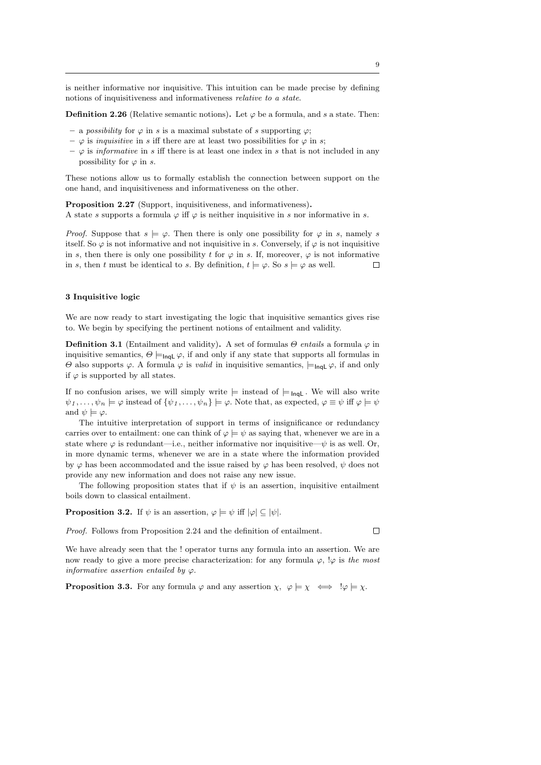is neither informative nor inquisitive. This intuition can be made precise by defining notions of inquisitiveness and informativeness relative to a state.

**Definition 2.26** (Relative semantic notions). Let  $\varphi$  be a formula, and s a state. Then:

- a possibility for  $\varphi$  in s is a maximal substate of s supporting  $\varphi$ ;
- $\varphi$  is *inquisitive* in *s* iff there are at least two possibilities for  $\varphi$  in *s*;
- $-\varphi$  is *informative* in s iff there is at least one index in s that is not included in any possibility for  $\varphi$  in s.

These notions allow us to formally establish the connection between support on the one hand, and inquisitiveness and informativeness on the other.

<span id="page-9-2"></span>Proposition 2.27 (Support, inquisitiveness, and informativeness). A state s supports a formula  $\varphi$  iff  $\varphi$  is neither inquisitive in s nor informative in s.

*Proof.* Suppose that  $s \models \varphi$ . Then there is only one possibility for  $\varphi$  in s, namely s itself. So  $\varphi$  is not informative and not inquisitive in s. Conversely, if  $\varphi$  is not inquisitive in s, then there is only one possibility t for  $\varphi$  in s. If, moreover,  $\varphi$  is not informative in s, then t must be identical to s. By definition,  $t \models \varphi$ . So  $s \models \varphi$  as well.  $\Box$ 

#### <span id="page-9-0"></span>3 Inquisitive logic

We are now ready to start investigating the logic that inquisitive semantics gives rise to. We begin by specifying the pertinent notions of entailment and validity.

**Definition 3.1** (Entailment and validity). A set of formulas  $\Theta$  entails a formula  $\varphi$  in inquisitive semantics,  $\Theta \models_{\mathsf{Inql}} \varphi$ , if and only if any state that supports all formulas in  $\Theta$  also supports  $\varphi$ . A formula  $\varphi$  is *valid* in inquisitive semantics,  $\models_{\mathsf{Inql}} \varphi$ , if and only if  $\varphi$  is supported by all states.

If no confusion arises, we will simply write  $\models$  instead of  $\models_{\mathsf{Inql}}$ . We will also write  $\psi_1, \ldots, \psi_n \models \varphi$  instead of  $\{\psi_1, \ldots, \psi_n\} \models \varphi$ . Note that, as expected,  $\varphi \equiv \psi$  iff  $\varphi \models \psi$ and  $\psi \models \varphi$ .

The intuitive interpretation of support in terms of insignificance or redundancy carries over to entailment: one can think of  $\varphi \models \psi$  as saying that, whenever we are in a state where  $\varphi$  is redundant—i.e., neither informative nor inquisitive— $\psi$  is as well. Or, in more dynamic terms, whenever we are in a state where the information provided by  $\varphi$  has been accommodated and the issue raised by  $\varphi$  has been resolved,  $\psi$  does not provide any new information and does not raise any new issue.

The following proposition states that if  $\psi$  is an assertion, inquisitive entailment boils down to classical entailment.

<span id="page-9-1"></span>**Proposition 3.2.** If  $\psi$  is an assertion,  $\varphi \models \psi$  iff  $|\varphi| \subseteq |\psi|$ .

Proof. Follows from Proposition [2.24](#page-7-2) and the definition of entailment.

We have already seen that the ! operator turns any formula into an assertion. We are now ready to give a more precise characterization: for any formula  $\varphi$ ,  $\varphi$  is the most informative assertion entailed by  $\varphi$ .

**Proposition 3.3.** For any formula  $\varphi$  and any assertion  $\chi$ ,  $\varphi \models \chi \iff |\varphi| = \chi$ .

 $\Box$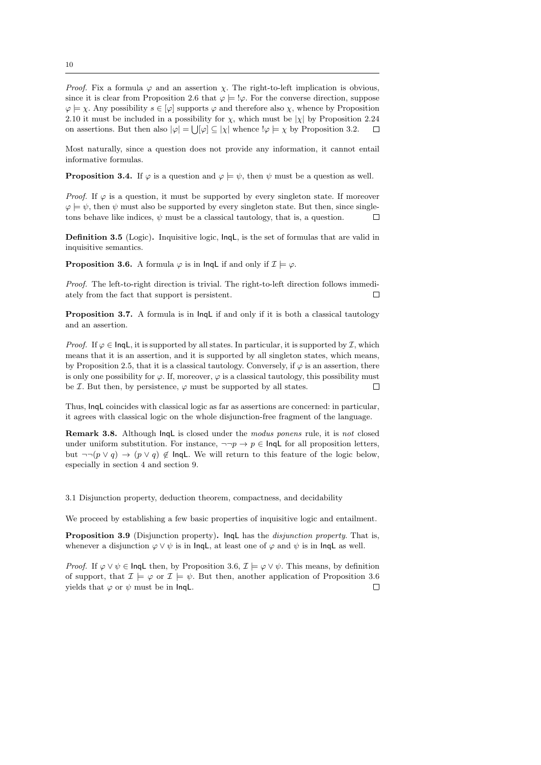*Proof.* Fix a formula  $\varphi$  and an assertion  $\chi$ . The right-to-left implication is obvious, since it is clear from Proposition [2.6](#page-3-3) that  $\varphi \models \varphi$ . For the converse direction, suppose  $\varphi \models \chi$ . Any possibility  $s \in [\varphi]$  supports  $\varphi$  and therefore also  $\chi$ , whence by Proposition [2.10](#page-4-1) it must be included in a possibility for  $\chi$ , which must be  $|\chi|$  by Proposition [2.24](#page-7-2) on assertions. But then also  $|\varphi| = |f|\varphi| \subseteq |\chi|$  whence  $|\varphi| = \chi$  by Proposition [3.2.](#page-9-1)  $\Box$ 

Most naturally, since a question does not provide any information, it cannot entail informative formulas.

**Proposition 3.4.** If  $\varphi$  is a question and  $\varphi \models \psi$ , then  $\psi$  must be a question as well.

*Proof.* If  $\varphi$  is a question, it must be supported by every singleton state. If moreover  $\varphi \models \psi$ , then  $\psi$  must also be supported by every singleton state. But then, since singletons behave like indices,  $\psi$  must be a classical tautology, that is, a question.  $\Box$ 

Definition 3.5 (Logic). Inquisitive logic, InqL, is the set of formulas that are valid in inquisitive semantics.

<span id="page-10-0"></span>**Proposition 3.6.** A formula  $\varphi$  is in lnqL if and only if  $\mathcal{I} \models \varphi$ .

Proof. The left-to-right direction is trivial. The right-to-left direction follows immediately from the fact that support is persistent.  $\Box$ 

Proposition 3.7. A formula is in  $\text{Inql}$  if and only if it is both a classical tautology and an assertion.

*Proof.* If  $\varphi \in \text{Inql},$  it is supported by all states. In particular, it is supported by  $\mathcal{I}$ , which means that it is an assertion, and it is supported by all singleton states, which means, by Proposition [2.5,](#page-3-2) that it is a classical tautology. Conversely, if  $\varphi$  is an assertion, there is only one possibility for  $\varphi$ . If, moreover,  $\varphi$  is a classical tautology, this possibility must be  $\mathcal I$ . But then, by persistence,  $\varphi$  must be supported by all states.  $\Box$ 

Thus, InqL coincides with classical logic as far as assertions are concerned: in particular, it agrees with classical logic on the whole disjunction-free fragment of the language.

<span id="page-10-1"></span>Remark 3.8. Although InqL is closed under the modus ponens rule, it is not closed under uniform substitution. For instance,  $\neg\neg p \rightarrow p \in \text{Inql for all proposition letters},$ but  $\neg\neg(p \lor q) \rightarrow (p \lor q) \notin \text{Inql. We will return to this feature of the logic below,}$ especially in section [4](#page-18-0) and section [9.](#page-29-0)

3.1 Disjunction property, deduction theorem, compactness, and decidability

We proceed by establishing a few basic properties of inquisitive logic and entailment.

Proposition 3.9 (Disjunction property). InqL has the *disjunction property*. That is, whenever a disjunction  $\varphi \vee \psi$  is in  $\text{Inql},$  at least one of  $\varphi$  and  $\psi$  is in  $\text{Inql}$  as well.

*Proof.* If  $\varphi \lor \psi \in \text{Ingl}$  then, by Proposition [3.6,](#page-10-0)  $\mathcal{I} \models \varphi \lor \psi$ . This means, by definition of support, that  $\mathcal{I} \models \varphi$  or  $\mathcal{I} \models \psi$ . But then, another application of Proposition [3.6](#page-10-0) yields that  $\varphi$  or  $\psi$  must be in lnqL.  $\Box$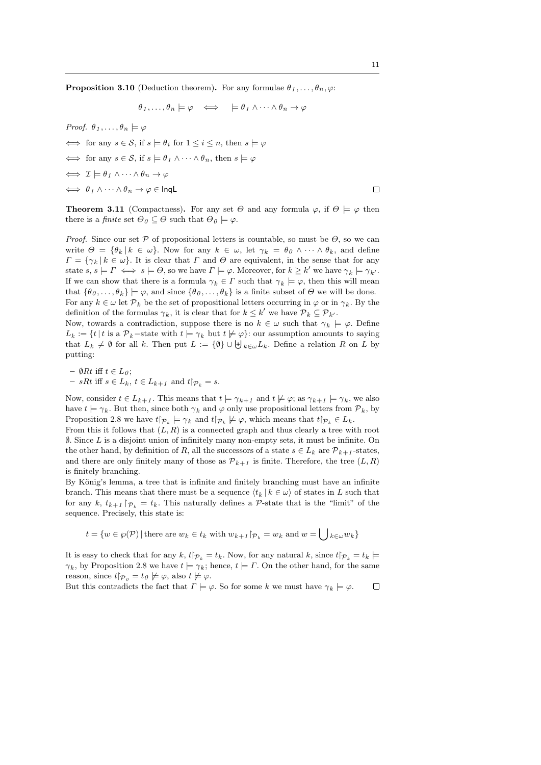**Proposition 3.10** (Deduction theorem). For any formulae  $\theta_1, \ldots, \theta_n, \varphi$ :

$$
\theta_1, \ldots, \theta_n \models \varphi \iff \models \theta_1 \land \cdots \land \theta_n \to \varphi
$$

Proof.  $\theta_1, \ldots, \theta_n \models \varphi$ 

 $\iff$  for any  $s \in \mathcal{S}$ , if  $s \models \theta_i$  for  $1 \leq i \leq n$ , then  $s \models \varphi$ 

- $\iff$  for any  $s \in \mathcal{S}$ , if  $s \models \theta_1 \land \cdots \land \theta_n$ , then  $s \models \varphi$
- $\Leftrightarrow$   $\mathcal{I} \models \theta_1 \wedge \cdots \wedge \theta_n \rightarrow \varphi$
- $\Leftrightarrow \theta_1 \wedge \cdots \wedge \theta_n \rightarrow \varphi \in \mathsf{Inql}$

 $\Box$ 

<span id="page-11-0"></span>**Theorem 3.11** (Compactness). For any set  $\Theta$  and any formula  $\varphi$ , if  $\Theta \models \varphi$  then there is a *finite* set  $\Theta_0 \subseteq \Theta$  such that  $\Theta_0 \models \varphi$ .

*Proof.* Since our set P of propositional letters is countable, so must be  $\Theta$ , so we can write  $\Theta = {\theta_k | k \in \omega}$ . Now for any  $k \in \omega$ , let  $\gamma_k = \theta_0 \wedge \cdots \wedge \theta_k$ , and define  $\Gamma = {\gamma_k | k \in \omega}.$  It is clear that  $\Gamma$  and  $\Theta$  are equivalent, in the sense that for any state  $s, s \models \Gamma \iff s \models \Theta$ , so we have  $\Gamma \models \varphi$ . Moreover, for  $k \geq k'$  we have  $\gamma_k \models \gamma_{k'}$ . If we can show that there is a formula  $\gamma_k \in \Gamma$  such that  $\gamma_k \models \varphi$ , then this will mean that  ${\lbrace \theta_0, \ldots, \theta_k \rbrace \models \varphi$ , and since  ${\lbrace \theta_0, \ldots, \theta_k \rbrace}$  is a finite subset of  $\Theta$  we will be done. For any  $k \in \omega$  let  $\mathcal{P}_k$  be the set of propositional letters occurring in  $\varphi$  or in  $\gamma_k$ . By the definition of the formulas  $\gamma_k$ , it is clear that for  $k \leq k'$  we have  $\mathcal{P}_k \subseteq \mathcal{P}_{k'}$ .

Now, towards a contradiction, suppose there is no  $k \in \omega$  such that  $\gamma_k \models \varphi$ . Define  $L_k := \{t \mid t \text{ is a } \mathcal{P}_k\text{-state with } t \models \gamma_k \text{ but } t \not\models \varphi\}$ : our assumption amounts to saying that  $L_k \neq \emptyset$  for all k. Then put  $L := {\emptyset} \cup \biguplus_{k \in \omega} L_k$ . Define a relation R on L by putting:

 $- \emptyset Rt$  iff  $t \in L_0$ ; – sRt iff  $s \in L_k$ ,  $t \in L_{k+1}$  and  $t|_{\mathcal{P}_k} = s$ .

Now, consider  $t \in L_{k+1}$ . This means that  $t \models \gamma_{k+1}$  and  $t \not\models \varphi$ ; as  $\gamma_{k+1} \models \gamma_k$ , we also have  $t \models \gamma_k$ . But then, since both  $\gamma_k$  and  $\varphi$  only use propositional letters from  $\mathcal{P}_k$ , by Proposition [2.8](#page-4-0) we have  $t\vert_{\mathcal{P}_k} \models \gamma_k$  and  $t\vert_{\mathcal{P}_k} \not\models \varphi$ , which means that  $t\vert_{\mathcal{P}_k} \in L_k$ .

From this it follows that  $(L, R)$  is a connected graph and thus clearly a tree with root  $\emptyset$ . Since L is a disjoint union of infinitely many non-empty sets, it must be infinite. On the other hand, by definition of R, all the successors of a state  $s \in L_k$  are  $\mathcal{P}_{k+1}$ -states, and there are only finitely many of those as  $\mathcal{P}_{k+1}$  is finite. Therefore, the tree  $(L, R)$ is finitely branching.

By König's lemma, a tree that is infinite and finitely branching must have an infinite branch. This means that there must be a sequence  $\langle t_k | k \in \omega \rangle$  of states in L such that for any k,  $t_{k+1}$   $\vert_{\mathcal{P}_k} = t_k$ . This naturally defines a P-state that is the "limit" of the sequence. Precisely, this state is:

$$
t = \{w \in \wp(\mathcal{P}) | \text{there are } w_k \in t_k \text{ with } w_{k+1} \mid \mathcal{P}_k = w_k \text{ and } w = \bigcup_{k \in \omega} w_k \}
$$

It is easy to check that for any k,  $t|_{\mathcal{P}_k} = t_k$ . Now, for any natural k, since  $t|_{\mathcal{P}_k} = t_k \models$  $\gamma_k$ , by Proposition [2.8](#page-4-0) we have  $t \models \gamma_k$ ; hence,  $t \models \Gamma$ . On the other hand, for the same reason, since  $t|_{\mathcal{P}_{0}} = t_{0} \not\models \varphi$ , also  $t \not\models \varphi$ .

But this contradicts the fact that  $\Gamma \models \varphi$ . So for some k we must have  $\gamma_k \models \varphi$ .  $\Box$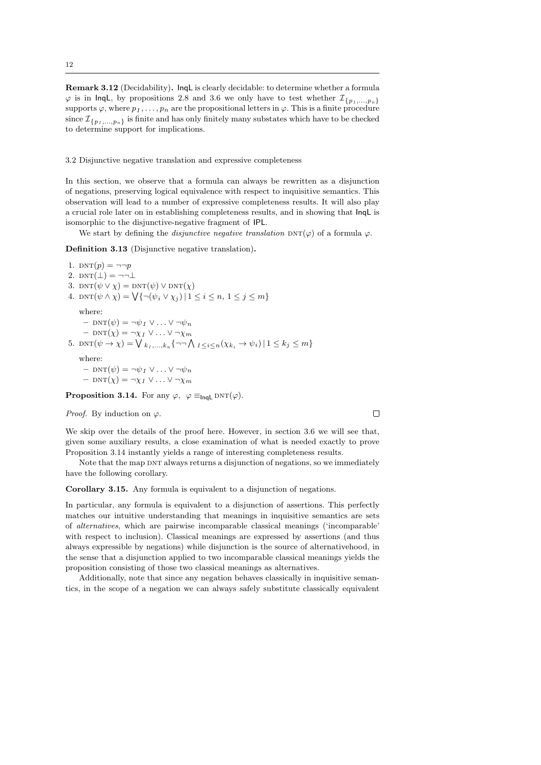Remark 3.12 (Decidability). InqL is clearly decidable: to determine whether a formula  $\varphi$  is in lnqL, by propositions [2.8](#page-4-0) and [3.6](#page-10-0) we only have to test whether  $\mathcal{I}_{\{p_1,...,p_n\}}$ supports  $\varphi$ , where  $p_1, \ldots, p_n$  are the propositional letters in  $\varphi$ . This is a finite procedure since  $\mathcal{I}_{\{p_1,...,p_n\}}$  is finite and has only finitely many substates which have to be checked to determine support for implications.

<span id="page-12-1"></span>3.2 Disjunctive negative translation and expressive completeness

In this section, we observe that a formula can always be rewritten as a disjunction of negations, preserving logical equivalence with respect to inquisitive semantics. This observation will lead to a number of expressive completeness results. It will also play a crucial role later on in establishing completeness results, and in showing that InqL is isomorphic to the disjunctive-negative fragment of IPL.

We start by defining the *disjunctive negative translation*  $DNT(\varphi)$  of a formula  $\varphi$ .

Definition 3.13 (Disjunctive negative translation).

1.  $DNT(p) = \neg \neg p$ 2.  $DNT(\perp) = \neg \neg \perp$ 3.  $DNT(\psi \vee \chi) = DNT(\psi) \vee DNT(\chi)$ 4.  $DNT(\psi \wedge \chi) = \bigvee{\neg(\psi_i \vee \chi_j) | 1 \leq i \leq n, 1 \leq j \leq m}$ where:  $-$  DNT $(\psi)$  =  $\neg \psi_1 \vee \ldots \vee \neg \psi_n$  $-$  DNT $(\chi)$  =  $\neg \chi_1 \vee \ldots \vee \neg \chi_m$ 5.  $DNT(\psi \to \chi) = \bigvee_{k_1, ..., k_n} {\neg \neg \bigwedge_{1 \leq i \leq n} (\chi_{k_i} \to \psi_i) | 1 \leq k_j \leq m}$ where:

 $-$  DNT $(\psi)$  =  $\neg \psi_1 \vee ... \vee \neg \psi_n$  $-$  DNT $(\chi)$  =  $\neg \chi_1 \vee \ldots \vee \neg \chi_m$ 

<span id="page-12-0"></span>**Proposition 3.14.** For any  $\varphi$ ,  $\varphi \equiv_{\text{Ind}} \text{DNT}(\varphi)$ .

*Proof.* By induction on  $\varphi$ .

 $\Box$ 

We skip over the details of the proof here. However, in section [3.6](#page-17-0) we will see that, given some auxiliary results, a close examination of what is needed exactly to prove Proposition [3.14](#page-12-0) instantly yields a range of interesting completeness results.

Note that the map DNT always returns a disjunction of negations, so we immediately have the following corollary.

Corollary 3.15. Any formula is equivalent to a disjunction of negations.

In particular, any formula is equivalent to a disjunction of assertions. This perfectly matches our intuitive understanding that meanings in inquisitive semantics are sets of alternatives, which are pairwise incomparable classical meanings ('incomparable' with respect to inclusion). Classical meanings are expressed by assertions (and thus always expressible by negations) while disjunction is the source of alternativehood, in the sense that a disjunction applied to two incomparable classical meanings yields the proposition consisting of those two classical meanings as alternatives.

Additionally, note that since any negation behaves classically in inquisitive semantics, in the scope of a negation we can always safely substitute classically equivalent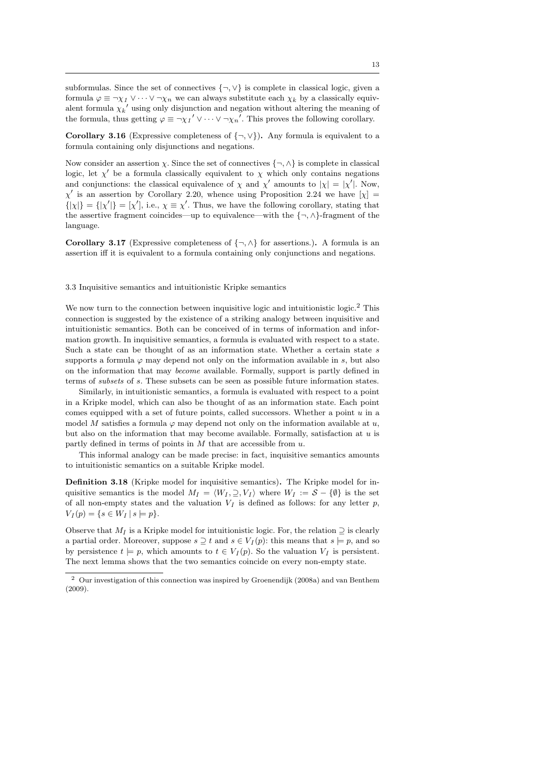subformulas. Since the set of connectives  $\{\neg, \vee\}$  is complete in classical logic, given a formula  $\varphi \equiv \neg \chi_1 \vee \cdots \vee \neg \chi_n$  we can always substitute each  $\chi_k$  by a classically equivalent formula  $\chi_k'$  using only disjunction and negation without altering the meaning of the formula, thus getting  $\varphi \equiv \neg \chi_1' \vee \cdots \vee \neg \chi_n'$ . This proves the following corollary.

Corollary 3.16 (Expressive completeness of  $\{\neg, \vee\}$ ). Any formula is equivalent to a formula containing only disjunctions and negations.

Now consider an assertion  $\chi$ . Since the set of connectives  $\{\neg, \wedge\}$  is complete in classical logic, let  $\chi'$  be a formula classically equivalent to  $\chi$  which only contains negations and conjunctions: the classical equivalence of  $\chi$  and  $\chi'$  amounts to  $|\chi| = |\chi'|$ . Now,  $\chi'$  is an assertion by Corollary [2.20,](#page-7-3) whence using Proposition [2.24](#page-7-2) we have  $[\chi] =$  ${| \chi |} = { | \chi' |} = { | \chi' |}$ , i.e.,  $\chi \equiv \chi'$ . Thus, we have the following corollary, stating that the assertive fragment coincides—up to equivalence—with the  $\{\neg, \wedge\}$ -fragment of the language.

Corollary 3.17 (Expressive completeness of  $\{\neg, \wedge\}$  for assertions.). A formula is an assertion iff it is equivalent to a formula containing only conjunctions and negations.

#### 3.3 Inquisitive semantics and intuitionistic Kripke semantics

We now turn to the connection between inquisitive logic and intuitionistic logic.<sup>[2](#page-13-0)</sup> This connection is suggested by the existence of a striking analogy between inquisitive and intuitionistic semantics. Both can be conceived of in terms of information and information growth. In inquisitive semantics, a formula is evaluated with respect to a state. Such a state can be thought of as an information state. Whether a certain state s supports a formula  $\varphi$  may depend not only on the information available in s, but also on the information that may become available. Formally, support is partly defined in terms of subsets of s. These subsets can be seen as possible future information states.

Similarly, in intuitionistic semantics, a formula is evaluated with respect to a point in a Kripke model, which can also be thought of as an information state. Each point comes equipped with a set of future points, called successors. Whether a point  $u$  in a model M satisfies a formula  $\varphi$  may depend not only on the information available at u, but also on the information that may become available. Formally, satisfaction at  $u$  is partly defined in terms of points in  $M$  that are accessible from  $u$ .

This informal analogy can be made precise: in fact, inquisitive semantics amounts to intuitionistic semantics on a suitable Kripke model.

Definition 3.18 (Kripke model for inquisitive semantics). The Kripke model for inquisitive semantics is the model  $M_I = \langle W_I, \supseteq, V_I \rangle$  where  $W_I := \mathcal{S} - \{\emptyset\}$  is the set of all non-empty states and the valuation  $V_I$  is defined as follows: for any letter p,  $V_I(p) = \{ s \in W_I \mid s \models p \}.$ 

Observe that  $M_I$  is a Kripke model for intuitionistic logic. For, the relation  $\supseteq$  is clearly a partial order. Moreover, suppose  $s \supseteq t$  and  $s \in V_I(p)$ : this means that  $s \models p$ , and so by persistence  $t \models p$ , which amounts to  $t \in V_I(p)$ . So the valuation  $V_I$  is persistent. The next lemma shows that the two semantics coincide on every non-empty state.

<span id="page-13-0"></span><sup>2</sup> Our investigation of this connection was inspired by [Groenendijk](#page-33-5) [\(2008a\)](#page-33-5) and [van Benthem](#page-33-9) [\(2009\)](#page-33-9).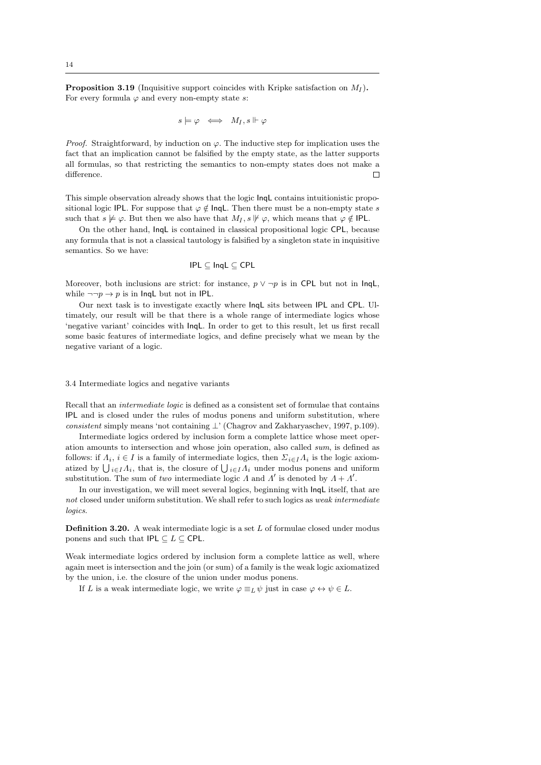<span id="page-14-0"></span>**Proposition 3.19** (Inquisitive support coincides with Kripke satisfaction on  $M_I$ ). For every formula  $\varphi$  and every non-empty state s:

$$
s\models \varphi\;\iff\;M_I,s\Vdash\varphi
$$

*Proof.* Straightforward, by induction on  $\varphi$ . The inductive step for implication uses the fact that an implication cannot be falsified by the empty state, as the latter supports all formulas, so that restricting the semantics to non-empty states does not make a difference.  $\Box$ 

This simple observation already shows that the logic InqL contains intuitionistic propositional logic IPL. For suppose that  $\varphi \notin \text{Inql.}$  Then there must be a non-empty state s such that  $s \not\models \varphi$ . But then we also have that  $M_I, s \not\models \varphi$ , which means that  $\varphi \notin \text{IPL}$ .

On the other hand, InqL is contained in classical propositional logic CPL, because any formula that is not a classical tautology is falsified by a singleton state in inquisitive semantics. So we have:

$$
\mathsf{IPL} \subseteq \mathsf{InqL} \subseteq \mathsf{CPL}
$$

Moreover, both inclusions are strict: for instance,  $p \vee \neg p$  is in CPL but not in  $\text{Inql},$ while  $\neg\neg p \rightarrow p$  is in lngL but not in IPL.

Our next task is to investigate exactly where InqL sits between IPL and CPL. Ultimately, our result will be that there is a whole range of intermediate logics whose 'negative variant' coincides with InqL. In order to get to this result, let us first recall some basic features of intermediate logics, and define precisely what we mean by the negative variant of a logic.

#### 3.4 Intermediate logics and negative variants

Recall that an intermediate logic is defined as a consistent set of formulae that contains IPL and is closed under the rules of modus ponens and uniform substitution, where consistent simply means 'not containing  $\perp$ ' [\(Chagrov and Zakharyaschev,](#page-33-10) [1997,](#page-33-10) p.109).

Intermediate logics ordered by inclusion form a complete lattice whose meet operation amounts to intersection and whose join operation, also called sum, is defined as follows: if  $\Lambda_i$ ,  $i \in I$  is a family of intermediate logics, then  $\sum_{i \in I} \Lambda_i$  is the logic axiomatized by  $\bigcup_{i\in I} \Lambda_i$ , that is, the closure of  $\bigcup_{i\in I} \Lambda_i$  under modus ponens and uniform substitution. The sum of two intermediate logic  $\Lambda$  and  $\Lambda'$  is denoted by  $\Lambda + \Lambda'$ .

In our investigation, we will meet several logics, beginning with InqL itself, that are not closed under uniform substitution. We shall refer to such logics as weak intermediate logics.

Definition 3.20. A weak intermediate logic is a set L of formulae closed under modus ponens and such that  $\textsf{IPL} \subseteq L \subseteq \textsf{CPL}.$ 

Weak intermediate logics ordered by inclusion form a complete lattice as well, where again meet is intersection and the join (or sum) of a family is the weak logic axiomatized by the union, i.e. the closure of the union under modus ponens.

If L is a weak intermediate logic, we write  $\varphi \equiv_L \psi$  just in case  $\varphi \leftrightarrow \psi \in L$ .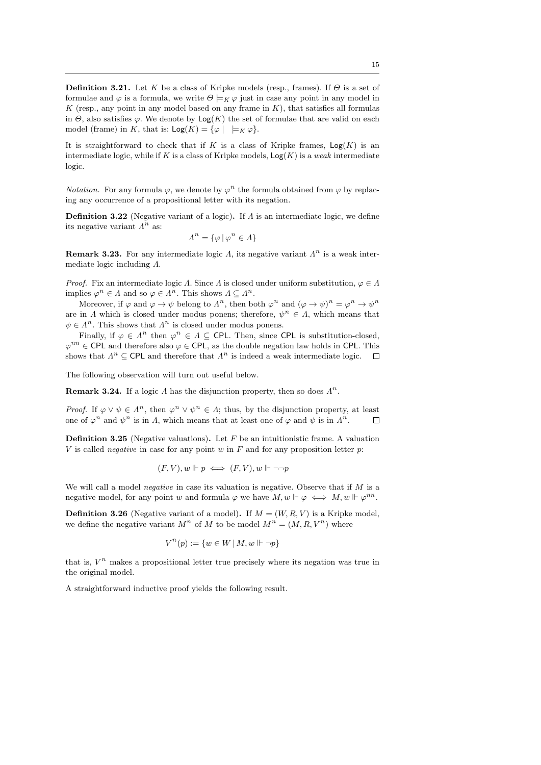**Definition 3.21.** Let K be a class of Kripke models (resp., frames). If  $\Theta$  is a set of formulae and  $\varphi$  is a formula, we write  $\Theta \models_K \varphi$  just in case any point in any model in  $K$  (resp., any point in any model based on any frame in  $K$ ), that satisfies all formulas in  $\Theta$ , also satisfies  $\varphi$ . We denote by  $\textsf{Log}(K)$  the set of formulae that are valid on each model (frame) in K, that is:  $\text{Log}(K) = \{ \varphi \mid \models_K \varphi \}.$ 

It is straightforward to check that if K is a class of Kripke frames,  $\text{Log}(K)$  is an intermediate logic, while if K is a class of Kripke models,  $Log(K)$  is a weak intermediate logic.

*Notation*. For any formula  $\varphi$ , we denote by  $\varphi^n$  the formula obtained from  $\varphi$  by replacing any occurrence of a propositional letter with its negation.

**Definition 3.22** (Negative variant of a logic). If  $\Lambda$  is an intermediate logic, we define its negative variant  $\Lambda^n$  as:

$$
\Lambda^n = \{ \varphi \, | \, \varphi^n \in \Lambda \}
$$

<span id="page-15-0"></span>**Remark 3.23.** For any intermediate logic  $\Lambda$ , its negative variant  $\Lambda^n$  is a weak intermediate logic including Λ.

*Proof.* Fix an intermediate logic A. Since A is closed under uniform substitution,  $\varphi \in A$ implies  $\varphi^n \in \Lambda$  and so  $\varphi \in \Lambda^n$ . This shows  $\Lambda \subseteq \Lambda^n$ .

Moreover, if  $\varphi$  and  $\varphi \to \psi$  belong to  $\Lambda^n$ , then both  $\varphi^n$  and  $(\varphi \to \psi)^n = \varphi^n \to \psi^n$ are in  $\Lambda$  which is closed under modus ponens; therefore,  $\psi^n \in \Lambda$ , which means that  $\psi \in \Lambda^n$ . This shows that  $\Lambda^n$  is closed under modus ponens.

Finally, if  $\varphi \in \Lambda^n$  then  $\varphi^n \in \Lambda \subseteq \text{CPL}$ . Then, since CPL is substitution-closed,  $\varphi^{nn} \in \text{CPL}$  and therefore also  $\varphi \in \text{CPL}$ , as the double negation law holds in CPL. This shows that  $\Lambda^n \subseteq \text{CPL}$  and therefore that  $\Lambda^n$  is indeed a weak intermediate logic.  $\Box$ 

The following observation will turn out useful below.

<span id="page-15-1"></span>**Remark 3.24.** If a logic  $\Lambda$  has the disjunction property, then so does  $\Lambda^n$ .

*Proof.* If  $\varphi \lor \psi \in \Lambda^n$ , then  $\varphi^n \lor \psi^n \in \Lambda$ ; thus, by the disjunction property, at least one of  $\varphi^n$  and  $\psi^n$  is in  $\Lambda$ , which means that at least one of  $\varphi$  and  $\psi$  is in  $\Lambda^n$ .  $\Box$ 

**Definition 3.25** (Negative valuations). Let  $F$  be an intuitionistic frame. A valuation V is called *negative* in case for any point w in F and for any proposition letter p:

$$
(F, V), w \Vdash p \iff (F, V), w \Vdash \neg\neg p
$$

We will call a model *negative* in case its valuation is negative. Observe that if  $M$  is a negative model, for any point w and formula  $\varphi$  we have  $M, w \Vdash \varphi \iff M, w \Vdash \varphi^{nn}$ .

**Definition 3.26** (Negative variant of a model). If  $M = (W, R, V)$  is a Kripke model, we define the negative variant  $M^n$  of M to be model  $M^n = (M, R, V^n)$  where

$$
V^{n}(p) := \{ w \in W \, | \, M, w \Vdash \neg p \}
$$

that is,  $V^n$  makes a propositional letter true precisely where its negation was true in the original model.

A straightforward inductive proof yields the following result.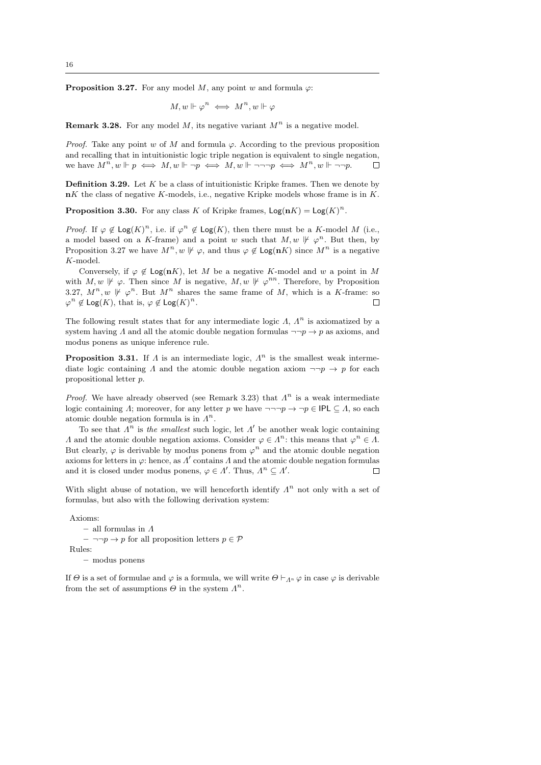<span id="page-16-0"></span>**Proposition 3.27.** For any model M, any point w and formula  $\varphi$ :

$$
M, w \Vdash \varphi^n \iff M^n, w \Vdash \varphi
$$

**Remark 3.28.** For any model M, its negative variant  $M^n$  is a negative model.

*Proof.* Take any point w of M and formula  $\varphi$ . According to the previous proposition and recalling that in intuitionistic logic triple negation is equivalent to single negation, we have  $M^n, w \Vdash p \iff M, w \Vdash \neg p \iff M, w \Vdash \neg \neg p \iff M^n, w \Vdash \neg \neg p$ .  $\Box$ 

**Definition 3.29.** Let  $K$  be a class of intuitionistic Kripke frames. Then we denote by  $nK$  the class of negative K-models, i.e., negative Kripke models whose frame is in K.

**Proposition 3.30.** For any class K of Kripke frames,  $\text{Log}(nK) = \text{Log}(K)^n$ .

*Proof.* If  $\varphi \notin \text{Log}(K)^n$ , i.e. if  $\varphi^n \notin \text{Log}(K)$ , then there must be a K-model M (i.e., a model based on a K-frame) and a point w such that  $M, w \not\Vdash \varphi^n$ . But then, by Proposition [3.27](#page-16-0) we have  $M^n, w \not\models \varphi$ , and thus  $\varphi \notin \text{Log}(nK)$  since  $M^n$  is a negative K-model.

Conversely, if  $\varphi \notin \text{Log}(nK)$ , let M be a negative K-model and w a point in M with  $M, w \not\models \varphi$ . Then since M is negative,  $M, w \not\models \varphi^{nn}$ . Therefore, by Proposition [3.27,](#page-16-0)  $M^n, w \not\models \varphi^n$ . But  $M^n$  shares the same frame of M, which is a K-frame: so  $\varphi^n \notin \text{Log}(K)$ , that is,  $\varphi \notin \text{Log}(K)^n$ .  $\Box$ 

The following result states that for any intermediate logic  $\Lambda$ ,  $\Lambda^n$  is axiomatized by a system having  $\Lambda$  and all the atomic double negation formulas  $\neg \neg p \rightarrow p$  as axioms, and modus ponens as unique inference rule.

**Proposition 3.31.** If  $\Lambda$  is an intermediate logic,  $\Lambda^n$  is the smallest weak intermediate logic containing  $\Lambda$  and the atomic double negation axiom  $\neg\neg p \rightarrow p$  for each propositional letter p.

Proof. We have already observed (see Remark [3.23\)](#page-15-0) that  $\Lambda^n$  is a weak intermediate logic containing Λ; moreover, for any letter p we have  $\neg \neg \neg p \rightarrow \neg p \in \text{IPL} \subseteq \Lambda$ , so each atomic double negation formula is in  $\Lambda^n$ .

To see that  $\Lambda^n$  is the smallest such logic, let  $\Lambda'$  be another weak logic containing A and the atomic double negation axioms. Consider  $\varphi \in A^n$ : this means that  $\varphi^n \in A$ . But clearly,  $\varphi$  is derivable by modus ponens from  $\varphi^n$  and the atomic double negation axioms for letters in  $\varphi$ : hence, as  $\Lambda'$  contains  $\Lambda$  and the atomic double negation formulas and it is closed under modus ponens,  $\varphi \in \Lambda'$ . Thus,  $\Lambda^n \subseteq \Lambda'$ .  $\Box$ 

With slight abuse of notation, we will henceforth identify  $\Lambda^n$  not only with a set of formulas, but also with the following derivation system:

Axioms:

 $-$  all formulas in  $\Lambda$  $- \neg \neg p \rightarrow p$  for all proposition letters  $p \in \mathcal{P}$ Rules: – modus ponens

If  $\Theta$  is a set of formulae and  $\varphi$  is a formula, we will write  $\Theta \vdash_{\Lambda^n} \varphi$  in case  $\varphi$  is derivable from the set of assumptions  $\Theta$  in the system  $\Lambda^n$ .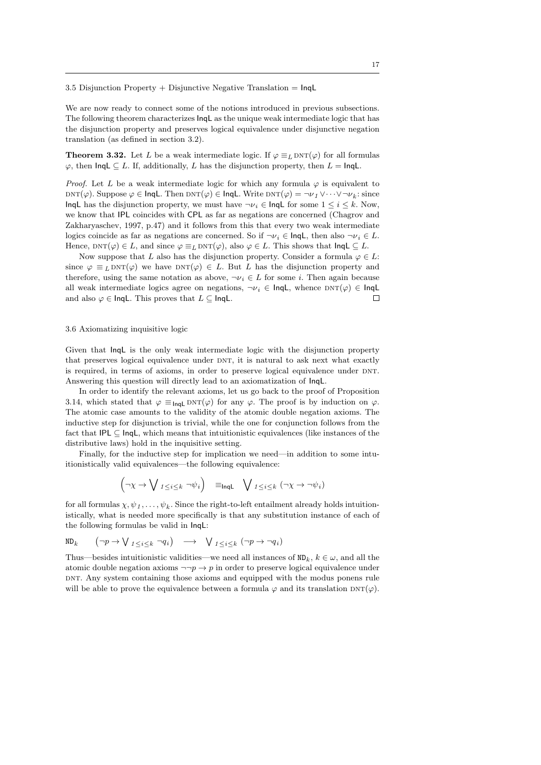3.5 Disjunction Property + Disjunctive Negative Translation  $=$  InqL

We are now ready to connect some of the notions introduced in previous subsections. The following theorem characterizes InqL as the unique weak intermediate logic that has the disjunction property and preserves logical equivalence under disjunctive negation translation (as defined in section [3.2\)](#page-12-1).

<span id="page-17-1"></span>**Theorem 3.32.** Let L be a weak intermediate logic. If  $\varphi \equiv_L \text{DNT}(\varphi)$  for all formulas  $\varphi$ , then  $\text{Ind}\subset L$ . If, additionally, L has the disjunction property, then  $L = \text{Ind}\Box$ 

*Proof.* Let L be a weak intermediate logic for which any formula  $\varphi$  is equivalent to DNT( $\varphi$ ). Suppose  $\varphi \in \text{Inql. Then } \text{DNT}(\varphi) \in \text{Inql. Write } \text{DNT}(\varphi) = \neg \nu_1 \vee \cdots \vee \neg \nu_k$ : since InqL has the disjunction property, we must have  $\neg \nu_i \in \text{Inql}$  for some  $1 \leq i \leq k$ . Now, we know that IPL coincides with CPL as far as negations are concerned [\(Chagrov and](#page-33-10) [Zakharyaschev,](#page-33-10) [1997,](#page-33-10) p.47) and it follows from this that every two weak intermediate logics coincide as far as negations are concerned. So if  $\neg \nu_i \in \text{Inql},$  then also  $\neg \nu_i \in L$ . Hence,  $\text{DNT}(\varphi) \in L$ , and since  $\varphi \equiv_L \text{DNT}(\varphi)$ , also  $\varphi \in L$ . This shows that  $\text{Inql } \subseteq L$ .

Now suppose that L also has the disjunction property. Consider a formula  $\varphi \in L$ : since  $\varphi \equiv_L \text{DNT}(\varphi)$  we have  $\text{DNT}(\varphi) \in L$ . But L has the disjunction property and therefore, using the same notation as above,  $\neg \nu_i \in L$  for some i. Then again because all weak intermediate logics agree on negations,  $\neg \nu_i \in \text{Inql},$  whence  $\text{DNT}(\varphi) \in \text{Inql}$ and also  $\varphi \in \text{Inql.}$  This proves that  $L \subseteq \text{Inql.}$  $\Box$ 

#### <span id="page-17-0"></span>3.6 Axiomatizing inquisitive logic

Given that InqL is the only weak intermediate logic with the disjunction property that preserves logical equivalence under DNT, it is natural to ask next what exactly is required, in terms of axioms, in order to preserve logical equivalence under DNT. Answering this question will directly lead to an axiomatization of InqL.

In order to identify the relevant axioms, let us go back to the proof of Proposition [3.14,](#page-12-0) which stated that  $\varphi \equiv_{\text{Inql}} \text{DNT}(\varphi)$  for any  $\varphi$ . The proof is by induction on  $\varphi$ . The atomic case amounts to the validity of the atomic double negation axioms. The inductive step for disjunction is trivial, while the one for conjunction follows from the fact that IPL  $\subset$  IngL, which means that intuitionistic equivalences (like instances of the distributive laws) hold in the inquisitive setting.

Finally, for the inductive step for implication we need—in addition to some intuitionistically valid equivalences—the following equivalence:

$$
\left(\neg\chi\rightarrow\bigvee\iota_{\leq i\leq k}\neg\psi_{i}\right)\equiv_{\mathsf{Inql}}\bigvee\iota_{\leq i\leq k}(\neg\chi\rightarrow\neg\psi_{i})
$$

for all formulas  $\chi, \psi_1, \ldots, \psi_k$ . Since the right-to-left entailment already holds intuitionistically, what is needed more specifically is that any substitution instance of each of the following formulas be valid in InqL:

$$
\mathtt{ND}_k \qquad (\neg p \to \bigvee \iota_{\leq i \leq k} \neg q_i) \quad \longrightarrow \quad \bigvee \iota_{\leq i \leq k} \ (\neg p \to \neg q_i)
$$

Thus—besides intuitionistic validities—we need all instances of  $ND_k$ ,  $k \in \omega$ , and all the atomic double negation axioms  $\neg\neg p \rightarrow p$  in order to preserve logical equivalence under DNT. Any system containing those axioms and equipped with the modus ponens rule will be able to prove the equivalence between a formula  $\varphi$  and its translation  $DNT(\varphi)$ .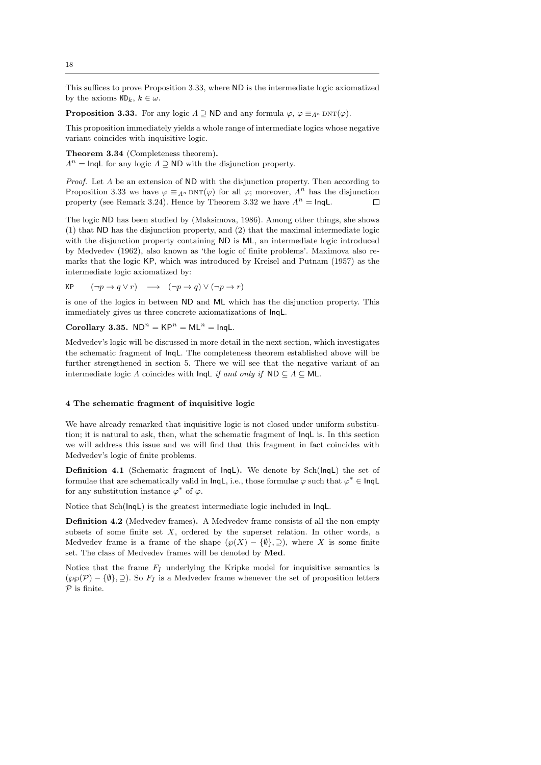This suffices to prove Proposition [3.33,](#page-18-1) where ND is the intermediate logic axiomatized by the axioms  $ND_k, k \in \omega$ .

<span id="page-18-1"></span>**Proposition 3.33.** For any logic  $\Lambda \supseteq \mathsf{ND}$  and any formula  $\varphi, \varphi \equiv_{\Lambda^n} \text{DNT}(\varphi)$ .

This proposition immediately yields a whole range of intermediate logics whose negative variant coincides with inquisitive logic.

<span id="page-18-3"></span>Theorem 3.34 (Completeness theorem).  $\Lambda^n$  = lnqL for any logic  $\Lambda \supseteq \text{ND}$  with the disjunction property.

*Proof.* Let  $\Lambda$  be an extension of ND with the disjunction property. Then according to

Proposition [3.33](#page-18-1) we have  $\varphi \equiv_{\Lambda^n} \text{DNT}(\varphi)$  for all  $\varphi$ ; moreover,  $\Lambda^n$  has the disjunction property (see Remark [3.24\)](#page-15-1). Hence by Theorem [3.32](#page-17-1) we have  $\Lambda^n = \text{Inql.}$  $\Box$ 

The logic ND has been studied by [\(Maksimova,](#page-33-11) [1986\)](#page-33-11). Among other things, she shows (1) that ND has the disjunction property, and (2) that the maximal intermediate logic with the disjunction property containing ND is ML, an intermediate logic introduced by [Medvedev](#page-33-12) [\(1962\)](#page-33-12), also known as 'the logic of finite problems'. Maximova also remarks that the logic KP, which was introduced by [Kreisel and Putnam](#page-33-13) [\(1957\)](#page-33-13) as the intermediate logic axiomatized by:

KP  $(\neg p \rightarrow q \lor r) \rightarrow (\neg p \rightarrow q) \lor (\neg p \rightarrow r)$ 

is one of the logics in between ND and ML which has the disjunction property. This immediately gives us three concrete axiomatizations of InqL.

<span id="page-18-2"></span>Corollary 3.35.  $ND^n = KP^n = ML^n = InqL$ .

Medvedev's logic will be discussed in more detail in the next section, which investigates the schematic fragment of InqL. The completeness theorem established above will be further strengthened in section [5.](#page-21-0) There we will see that the negative variant of an intermediate logic  $\Lambda$  coincides with  $\text{Inql } if$  and only if  $ND \subseteq \Lambda \subseteq ML$ .

#### <span id="page-18-0"></span>4 The schematic fragment of inquisitive logic

We have already remarked that inquisitive logic is not closed under uniform substitution; it is natural to ask, then, what the schematic fragment of InqL is. In this section we will address this issue and we will find that this fragment in fact coincides with Medvedev's logic of finite problems.

Definition 4.1 (Schematic fragment of InqL). We denote by Sch(InqL) the set of formulae that are schematically valid in  $\text{Inql},$  i.e., those formulae  $\varphi$  such that  $\varphi^* \in \text{Inql}$ for any substitution instance  $\varphi^*$  of  $\varphi$ .

Notice that Sch(InqL) is the greatest intermediate logic included in InqL.

Definition 4.2 (Medvedev frames). A Medvedev frame consists of all the non-empty subsets of some finite set X, ordered by the superset relation. In other words, a Medvedev frame is a frame of the shape  $(\wp(X) - \{\emptyset\}, \supseteq)$ , where X is some finite set. The class of Medvedev frames will be denoted by Med.

Notice that the frame  $F_I$  underlying the Kripke model for inquisitive semantics is  $(\wp \wp(\mathcal{P}) - \{\emptyset\}, \supseteq)$ . So  $F_I$  is a Medvedev frame whenever the set of proposition letters  $P$  is finite.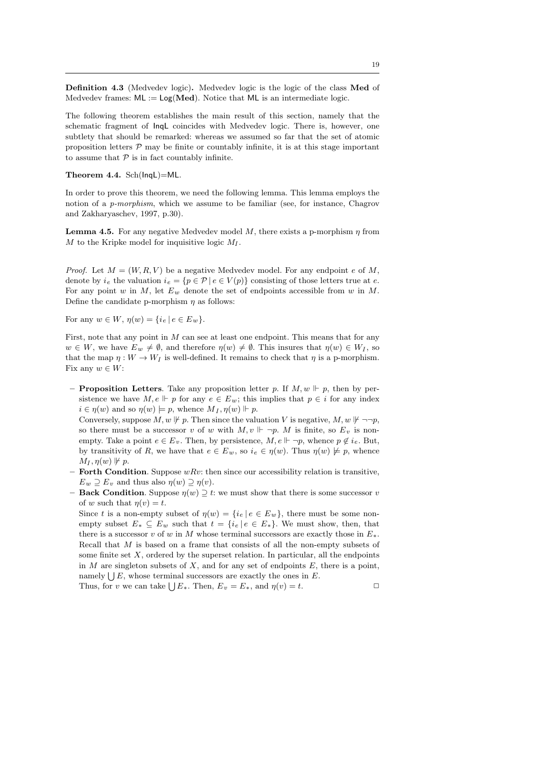Definition 4.3 (Medvedev logic). Medvedev logic is the logic of the class Med of Medvedev frames:  $ML := Log(Med)$ . Notice that ML is an intermediate logic.

The following theorem establishes the main result of this section, namely that the schematic fragment of InqL coincides with Medvedev logic. There is, however, one subtlety that should be remarked: whereas we assumed so far that the set of atomic proposition letters  $P$  may be finite or countably infinite, it is at this stage important to assume that  $P$  is in fact countably infinite.

<span id="page-19-0"></span>Theorem 4.4. Sch(InqL)=ML.

In order to prove this theorem, we need the following lemma. This lemma employs the notion of a *p-morphism*, which we assume to be familiar (see, for instance, [Chagrov](#page-33-10) [and Zakharyaschev,](#page-33-10) [1997,](#page-33-10) p.30).

<span id="page-19-1"></span>**Lemma 4.5.** For any negative Medvedev model M, there exists a p-morphism  $\eta$  from  $M$  to the Kripke model for inquisitive logic  $M_I$ .

*Proof.* Let  $M = (W, R, V)$  be a negative Medvedev model. For any endpoint e of M, denote by  $i_e$  the valuation  $i_e = \{p \in \mathcal{P} \mid e \in V(p)\}\)$  consisting of those letters true at e. For any point w in M, let  $E_w$  denote the set of endpoints accessible from w in M. Define the candidate p-morphism  $\eta$  as follows:

For any  $w \in W$ ,  $\eta(w) = \{i_e \mid e \in E_w\}.$ 

First, note that any point in  $M$  can see at least one endpoint. This means that for any  $w \in W$ , we have  $E_w \neq \emptyset$ , and therefore  $\eta(w) \neq \emptyset$ . This insures that  $\eta(w) \in W_I$ , so that the map  $\eta: W \to W_I$  is well-defined. It remains to check that  $\eta$  is a p-morphism. Fix any  $w \in W$ :

- Proposition Letters. Take any proposition letter p. If  $M, w \Vdash p$ , then by persistence we have  $M, e \Vdash p$  for any  $e \in E_w$ ; this implies that  $p \in i$  for any index  $i \in \eta(w)$  and so  $\eta(w) \models p$ , whence  $M_I, \eta(w) \Vdash p$ .

Conversely, suppose  $M, w \not\models p$ . Then since the valuation V is negative,  $M, w \not\models \neg \neg p$ , so there must be a successor v of w with  $M, v \Vdash \neg p$ . M is finite, so  $E_v$  is nonempty. Take a point  $e \in E_v$ . Then, by persistence,  $M, e \Vdash \neg p$ , whence  $p \notin i_e$ . But, by transitivity of R, we have that  $e \in E_w$ , so  $i_e \in \eta(w)$ . Thus  $\eta(w) \not\models p$ , whence  $M_I, \eta(w) \not\Vdash p.$ 

- Forth Condition. Suppose  $wRv$ : then since our accessibility relation is transitive,  $E_w \supseteq E_v$  and thus also  $\eta(w) \supseteq \eta(v)$ .
- **Back Condition**. Suppose  $\eta(w) \supseteq t$ : we must show that there is some successor v of w such that  $n(v) = t$ .

Since t is a non-empty subset of  $\eta(w) = \{i_e \mid e \in E_w\}$ , there must be some nonempty subset  $E_* \subseteq E_w$  such that  $t = \{i_e | e \in E_*\}$ . We must show, then, that there is a successor v of w in M whose terminal successors are exactly those in  $E_*$ . Recall that  $M$  is based on a frame that consists of all the non-empty subsets of some finite set  $X$ , ordered by the superset relation. In particular, all the endpoints in  $M$  are singleton subsets of  $X$ , and for any set of endpoints  $E$ , there is a point, namely  $\bigcup E$ , whose terminal successors are exactly the ones in E. Thus, for v we can take  $\bigcup E_*$ . Then,  $E_v = E_*$ , and  $\eta(v) = t$ .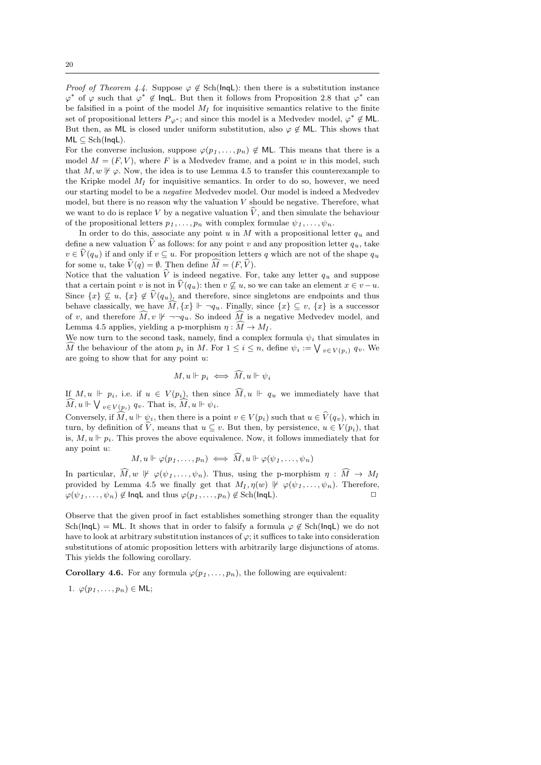<span id="page-20-1"></span>*Proof of Theorem [4.4.](#page-19-0)* Suppose  $\varphi \notin Sch(\text{Inql}):$  then there is a substitution instance  $\varphi^*$  of  $\varphi$  such that  $\varphi^* \notin \text{Inql.}$  But then it follows from Proposition [2.8](#page-4-0) that  $\varphi^*$  can be falsified in a point of the model  $M_I$  for inquisitive semantics relative to the finite set of propositional letters  $P_{\varphi^*}$ ; and since this model is a Medvedev model,  $\varphi^* \notin M$ L. But then, as ML is closed under uniform substitution, also  $\varphi \notin ML$ . This shows that  $ML \subseteq Sch(InaL)$ .

For the converse inclusion, suppose  $\varphi(p_1, \ldots, p_n) \notin M\mathsf{L}$ . This means that there is a model  $M = (F, V)$ , where F is a Medvedev frame, and a point w in this model, such that  $M, w \not\Vdash \varphi$ . Now, the idea is to use Lemma [4.5](#page-19-1) to transfer this counterexample to the Kripke model  $M_I$  for inquisitive semantics. In order to do so, however, we need our starting model to be a negative Medvedev model. Our model is indeed a Medvedev model, but there is no reason why the valuation  $V$  should be negative. Therefore, what we want to do is replace V by a negative valuation  $\hat{V}$ , and then simulate the behaviour of the propositional letters  $p_1, \ldots, p_n$  with complex formulae  $\psi_1, \ldots, \psi_n$ .

In order to do this, associate any point  $u$  in  $M$  with a propositional letter  $q_u$  and define a new valuation  $\widehat{V}$  as follows: for any point v and any proposition letter  $q_u$ , take  $v \in \widehat{V}(q_u)$  if and only if  $v \subseteq u$ . For proposition letters q which are not of the shape  $q_u$ for some u, take  $\widehat{V}(q) = \emptyset$ . Then define  $\widehat{M} = (F, \widehat{V})$ .

Notice that the valuation  $\hat{V}$  is indeed negative. For, take any letter  $q_u$  and suppose that a certain point v is not in  $\hat{V}(q_u)$ : then  $v \not\subseteq u$ , so we can take an element  $x \in v - u$ . Since  $\{x\} \nsubseteq u$ ,  $\{x\} \notin \widehat{V}(q_u)$ , and therefore, since singletons are endpoints and thus behave classically, we have  $\widehat{M}$ ,  $\{x\} \Vdash \neg q_u$ . Finally, since  $\{x\} \subseteq v$ ,  $\{x\}$  is a successor of v, and therefore  $\widehat{M}, v \not\models \neg \neg q_u$ . So indeed  $\widehat{M}$  is a negative Medvedev model, and Lemma [4.5](#page-19-1) applies, yielding a p-morphism  $\eta : M \to M_I$ .

We now turn to the second task, namely, find a complex formula  $\psi_i$  that simulates in M the behaviour of the atom  $p_i$  in M. For  $1 \leq i \leq n$ , define  $\psi_i := \bigvee_{v \in V(p_i)} q_v$ . We are going to show that for any point u:

$$
M, u \Vdash p_i \iff \widehat{M}, u \Vdash \psi_i
$$

If  $M, u \Vdash p_i$ , i.e. if  $u \in V(p_i)$ , then since  $\widehat{M}, u \Vdash q_u$  we immediately have that  $\widehat{M}, u \Vdash \bigvee_{v \in V(p_i)} q_v$ . That is,  $\widehat{M}, u \Vdash \psi_i$ .

Conversely, if  $\widehat{M}$ ,  $u \Vdash \psi_i$ , then there is a point  $v \in V(p_i)$  such that  $u \in \widehat{V}(q_v)$ , which in turn, by definition of  $\hat{V}$ , means that  $u \subseteq v$ . But then, by persistence,  $u \in V(p_i)$ , that is,  $M, u \Vdash p_i$ . This proves the above equivalence. Now, it follows immediately that for any point u:

$$
M, u \Vdash \varphi(p_1, \ldots, p_n) \iff \widehat{M}, u \Vdash \varphi(\psi_1, \ldots, \psi_n)
$$

In particular,  $\widehat{M}$ ,  $w \not\Vdash \varphi(\psi_1,\ldots,\psi_n)$ . Thus, using the p-morphism  $\eta : \widehat{M} \to M_I$ provided by Lemma [4.5](#page-19-1) we finally get that  $M_I, \eta(w) \not\Vdash \varphi(\psi_1, \ldots, \psi_n)$ . Therefore,  $\varphi(\psi_1, \ldots, \psi_n) \notin \text{Inql}$  and thus  $\varphi(p_1, \ldots, p_n) \notin \text{Sch}(\text{Inql}).$ 

Observe that the given proof in fact establishes something stronger than the equality Sch(InqL) = ML. It shows that in order to falsify a formula  $\varphi \notin Sch(\text{InqL})$  we do not have to look at arbitrary substitution instances of  $\varphi$ ; it suffices to take into consideration substitutions of atomic proposition letters with arbitrarily large disjunctions of atoms. This yields the following corollary.

<span id="page-20-0"></span>**Corollary 4.6.** For any formula  $\varphi(p_1, \ldots, p_n)$ , the following are equivalent:

1.  $\varphi(p_1, \ldots, p_n) \in \mathsf{ML};$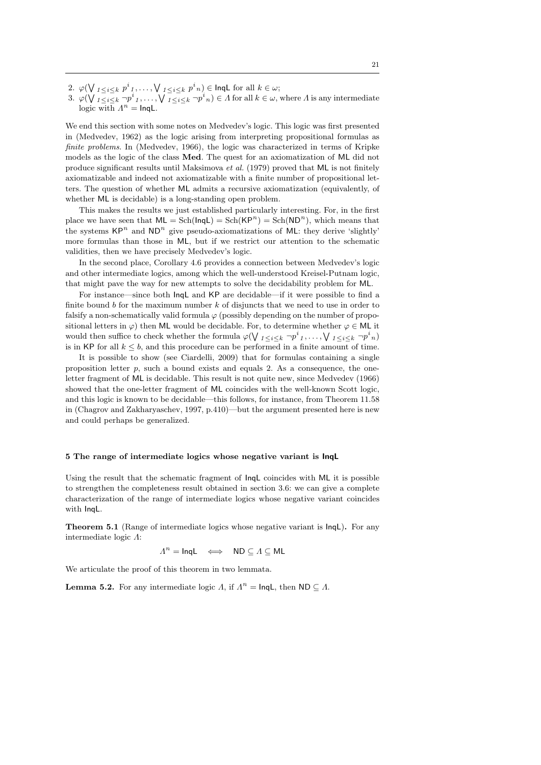- 2.  $\varphi(\bigvee_{1\leq i\leq k}p^{i}{}_{1},\ldots,\bigvee_{1\leq i\leq k}p^{i}{}_{n})\in\mathsf{Inql}$  for all  $k\in\omega;$
- 3.  $\varphi(\bigvee_{1 \leq i \leq k} \overline{\neg p^i_1}, \ldots, \bigvee_{1 \leq i \leq k} \overline{\neg p^i_n}) \in \Lambda$  for all  $k \in \omega$ , where  $\Lambda$  is any intermediate logic with  $\overline{\Lambda}^n = \text{Inql.}$

We end this section with some notes on Medvedev's logic. This logic was first presented in [\(Medvedev,](#page-33-12) [1962\)](#page-33-12) as the logic arising from interpreting propositional formulas as finite problems. In [\(Medvedev,](#page-33-14) [1966\)](#page-33-14), the logic was characterized in terms of Kripke models as the logic of the class Med. The quest for an axiomatization of ML did not produce significant results until [Maksimova](#page-33-15) *et al.* [\(1979\)](#page-33-15) proved that  $ML$  is not finitely axiomatizable and indeed not axiomatizable with a finite number of propositional letters. The question of whether ML admits a recursive axiomatization (equivalently, of whether ML is decidable) is a long-standing open problem.

This makes the results we just established particularly interesting. For, in the first place we have seen that  $ML = Sch(IndL) = Sch(KP<sup>n</sup>) = Sch(ND<sup>n</sup>)$ , which means that the systems  $\mathsf{KP}^n$  and  $\mathsf{ND}^n$  give pseudo-axiomatizations of ML: they derive 'slightly' more formulas than those in ML, but if we restrict our attention to the schematic validities, then we have precisely Medvedev's logic.

In the second place, Corollary [4.6](#page-20-0) provides a connection between Medvedev's logic and other intermediate logics, among which the well-understood Kreisel-Putnam logic, that might pave the way for new attempts to solve the decidability problem for ML.

For instance—since both InqL and KP are decidable—if it were possible to find a finite bound  $b$  for the maximum number  $k$  of disjuncts that we need to use in order to falsify a non-schematically valid formula  $\varphi$  (possibly depending on the number of propositional letters in  $\varphi$ ) then ML would be decidable. For, to determine whether  $\varphi \in \mathsf{ML}$  it would then suffice to check whether the formula  $\varphi(\bigvee_{1 \leq i \leq k} \neg p^i_1, \ldots, \bigvee_{1 \leq i \leq k} \neg p^i_n)$ is in KP for all  $k \leq b$ , and this procedure can be performed in a finite amount of time.

It is possible to show (see [Ciardelli,](#page-33-16) [2009\)](#page-33-16) that for formulas containing a single proposition letter  $p$ , such a bound exists and equals 2. As a consequence, the oneletter fragment of ML is decidable. This result is not quite new, since [Medvedev](#page-33-14) [\(1966\)](#page-33-14) showed that the one-letter fragment of ML coincides with the well-known Scott logic, and this logic is known to be decidable—this follows, for instance, from Theorem 11.58 in [\(Chagrov and Zakharyaschev,](#page-33-10) [1997,](#page-33-10) p.410)—but the argument presented here is new and could perhaps be generalized.

#### <span id="page-21-0"></span>5 The range of intermediate logics whose negative variant is InqL

Using the result that the schematic fragment of  $\text{InqL}$  coincides with ML it is possible to strengthen the completeness result obtained in section [3.6:](#page-17-0) we can give a complete characterization of the range of intermediate logics whose negative variant coincides with InqL.

<span id="page-21-1"></span>Theorem 5.1 (Range of intermediate logics whose negative variant is InqL). For any intermediate logic Λ:

$$
A^n = \mathsf{InqL} \iff \mathsf{ND} \subseteq A \subseteq \mathsf{ML}
$$

We articulate the proof of this theorem in two lemmata.

**Lemma 5.2.** For any intermediate logic  $\Lambda$ , if  $\Lambda^n = \text{Inql}$ , then ND  $\subseteq \Lambda$ .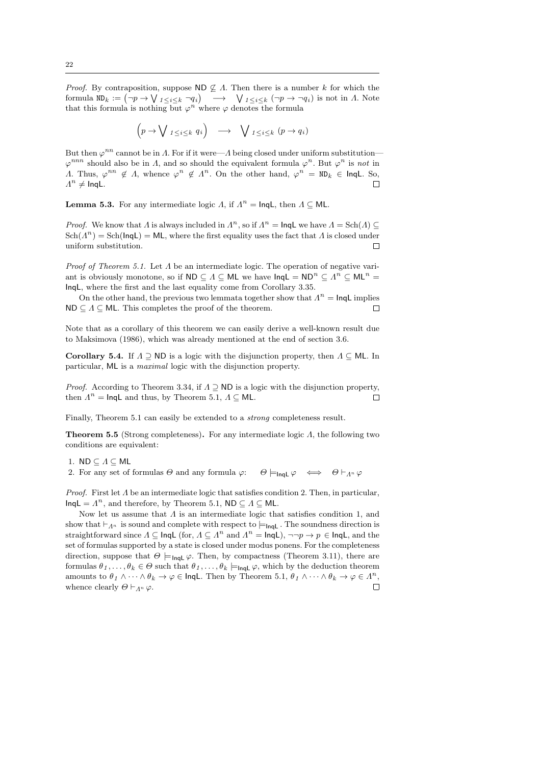*Proof.* By contraposition, suppose  $ND \nsubseteq A$ . Then there is a number k for which the formula  $ND_k := (\neg p \to \bigvee_{1 \leq i \leq k} \neg q_i) \longrightarrow \bigvee_{1 \leq i \leq k} (\neg p \to \neg q_i)$  is not in  $\Lambda$ . Note that this formula is nothing but  $\varphi^n$  where  $\varphi$  denotes the formula

$$
\left(p \to \bigvee_{1 \leq i \leq k} q_i\right) \quad \longrightarrow \quad \bigvee_{1 \leq i \leq k} (p \to q_i)
$$

But then  $\varphi^{nn}$  cannot be in  $\Lambda$ . For if it were— $\Lambda$  being closed under uniform substitution—  $\varphi^{nnn}$  should also be in A, and so should the equivalent formula  $\varphi^n$ . But  $\varphi^n$  is not in *A*. Thus,  $\varphi^{nn} \notin A$ , whence  $\varphi^n \notin A^n$ . On the other hand,  $\varphi^n = \mathbb{N}D_k \in \mathsf{Inql. S0}$ ,  $\Lambda^n \neq \mathsf{InqL}.$  $\Box$ 

**Lemma 5.3.** For any intermediate logic  $\Lambda$ , if  $\Lambda^n = \text{Inql}$ , then  $\Lambda \subseteq \text{ML}$ .

*Proof.* We know that  $\Lambda$  is always included in  $\Lambda^n$ , so if  $\Lambda^n = \text{Inqlw}$  we have  $\Lambda = \text{Sch}(\Lambda) \subseteq$  $\text{Sch}(A^n) = \text{Sch}(\text{InqL}) = \text{ML}$ , where the first equality uses the fact that  $\Lambda$  is closed under uniform substitution.  $\Box$ 

*Proof of Theorem [5.1.](#page-21-1)* Let  $\Lambda$  be an intermediate logic. The operation of negative variant is obviously monotone, so if  $ND \subseteq A \subseteq ML$  we have  $Inel = ND^n \subseteq \Lambda^n \subseteq ML^n$ InqL, where the first and the last equality come from Corollary [3.35.](#page-18-2)

On the other hand, the previous two lemmata together show that  $\Lambda^n = \text{Inql implies}$  $ND \subset \Lambda \subset \mathsf{ML}$ . This completes the proof of the theorem.  $\Box$ 

Note that as a corollary of this theorem we can easily derive a well-known result due to [Maksimova](#page-33-11) [\(1986\)](#page-33-11), which was already mentioned at the end of section [3.6.](#page-17-0)

Corollary 5.4. If  $\Lambda \supseteq$  ND is a logic with the disjunction property, then  $\Lambda \subseteq M$ L. In particular, ML is a maximal logic with the disjunction property.

*Proof.* According to Theorem [3.34,](#page-18-3) if  $\Lambda \supseteq \mathsf{ND}$  is a logic with the disjunction property, then  $\Lambda^n = \text{Inql}$  and thus, by Theorem [5.1,](#page-21-1)  $\Lambda \subseteq \text{ML}$ . П

Finally, Theorem [5.1](#page-21-1) can easily be extended to a strong completeness result.

<span id="page-22-0"></span>**Theorem 5.5** (Strong completeness). For any intermediate logic  $\Lambda$ , the following two conditions are equivalent:

1. ND  $\subseteq$   $\Lambda \subseteq$  ML

2. For any set of formulas  $\Theta$  and any formula  $\varphi: \Theta \models_{\text{Incl}} \varphi \iff \Theta \models_{\Lambda^n} \varphi$ 

*Proof.* First let  $\Lambda$  be an intermediate logic that satisfies condition 2. Then, in particular,  $\mathsf{InqL} = \Lambda^n$ , and therefore, by Theorem [5.1,](#page-21-1) ND  $\subseteq \Lambda \subseteq \mathsf{ML}$ .

Now let us assume that  $\Lambda$  is an intermediate logic that satisfies condition 1, and show that  $\vdash_{\Lambda^n}$  is sound and complete with respect to  $\models_{\text{Inal}}$ . The soundness direction is straightforward since  $\Lambda \subseteq \text{Inql}$  (for,  $\Lambda \subseteq \Lambda^n$  and  $\Lambda^n = \text{Inql}$ ),  $\neg \neg p \rightarrow p \in \text{Inql}$ , and the set of formulas supported by a state is closed under modus ponens. For the completeness direction, suppose that  $\Theta \models_{\mathsf{Inql}} \varphi$ . Then, by compactness (Theorem [3.11\)](#page-11-0), there are formulas  $\theta_1, \ldots, \theta_k \in \Theta$  such that  $\theta_1, \ldots, \theta_k \models_{\textsf{Inql}} \varphi$ , which by the deduction theorem amounts to  $\theta_1 \wedge \cdots \wedge \theta_k \rightarrow \varphi \in \text{Inql. Then by Theorem 5.1, } \theta_1 \wedge \cdots \wedge \theta_k \rightarrow \varphi \in \Lambda^n$  $\theta_1 \wedge \cdots \wedge \theta_k \rightarrow \varphi \in \text{Inql. Then by Theorem 5.1, } \theta_1 \wedge \cdots \wedge \theta_k \rightarrow \varphi \in \Lambda^n$  $\theta_1 \wedge \cdots \wedge \theta_k \rightarrow \varphi \in \text{Inql. Then by Theorem 5.1, } \theta_1 \wedge \cdots \wedge \theta_k \rightarrow \varphi \in \Lambda^n$ , whence clearly  $\Theta \vdash_{\Lambda^n} \varphi$ .  $\Box$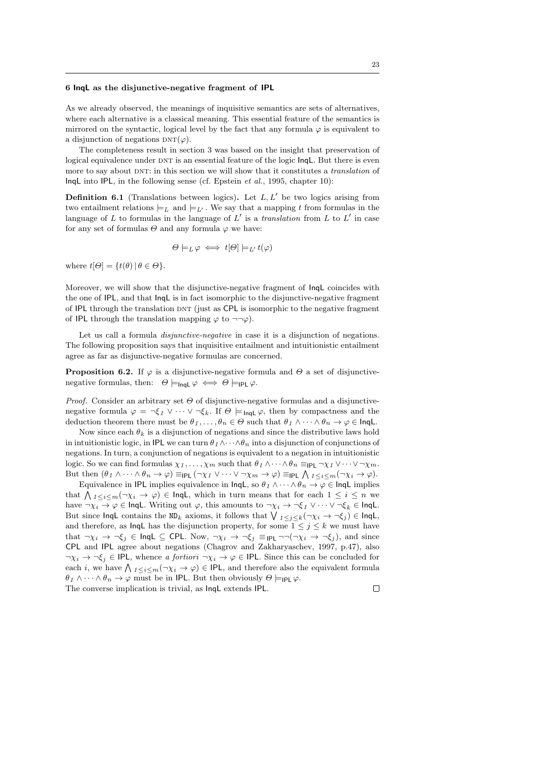#### <span id="page-23-0"></span>6 InqL as the disjunctive-negative fragment of IPL

As we already observed, the meanings of inquisitive semantics are sets of alternatives, where each alternative is a classical meaning. This essential feature of the semantics is mirrored on the syntactic, logical level by the fact that any formula  $\varphi$  is equivalent to a disjunction of negations  $DNT(\varphi)$ .

The completeness result in section [3](#page-9-0) was based on the insight that preservation of logical equivalence under DNT is an essential feature of the logic  $\text{Inql.}$  But there is even more to say about DNT: in this section we will show that it constitutes a *translation* of  $InqL$  into IPL, in the following sense (cf. [Epstein](#page-33-17) *et al.*, [1995,](#page-33-17) chapter 10):

**Definition 6.1** (Translations between logics). Let  $L, L'$  be two logics arising from two entailment relations  $\models_L$  and  $\models_{L'}$ . We say that a mapping t from formulas in the language of L to formulas in the language of  $L'$  is a translation from L to  $L'$  in case for any set of formulas  $\Theta$  and any formula  $\varphi$  we have:

$$
\Theta\models_L\varphi\iff t[\Theta]\models_{L'} t(\varphi)
$$

where  $t[\Theta] = \{t(\theta) | \theta \in \Theta\}.$ 

Moreover, we will show that the disjunctive-negative fragment of InqL coincides with the one of IPL, and that InqL is in fact isomorphic to the disjunctive-negative fragment of IPL through the translation  $DNT$  (just as CPL is isomorphic to the negative fragment of IPL through the translation mapping  $\varphi$  to  $\neg\neg\varphi$ ).

Let us call a formula *disjunctive-negative* in case it is a disjunction of negations. The following proposition says that inquisitive entailment and intuitionistic entailment agree as far as disjunctive-negative formulas are concerned.

<span id="page-23-1"></span>**Proposition 6.2.** If  $\varphi$  is a disjunctive-negative formula and  $\Theta$  a set of disjunctivenegative formulas, then:  $\Theta \models_{\mathsf{Inql}} \varphi \iff \Theta \models_{\mathsf{IPL}} \varphi$ .

*Proof.* Consider an arbitrary set  $\Theta$  of disjunctive-negative formulas and a disjunctivenegative formula  $\varphi = \neg \xi_1 \vee \cdots \vee \neg \xi_k$ . If  $\Theta \models_{\textsf{Inql}} \varphi$ , then by compactness and the deduction theorem there must be  $\theta_1, \ldots, \theta_n \in \Theta$  such that  $\theta_1 \wedge \cdots \wedge \theta_n \to \varphi \in \text{Inql.}$ 

Now since each  $\theta_k$  is a disjunction of negations and since the distributive laws hold in intuitionistic logic, in IPL we can turn  $\theta_1 \wedge \cdots \wedge \theta_n$  into a disjunction of conjunctions of negations. In turn, a conjunction of negations is equivalent to a negation in intuitionistic logic. So we can find formulas  $\chi_1, \ldots, \chi_m$  such that  $\theta_1 \wedge \cdots \wedge \theta_n \equiv_{\text{IPL}} \neg \chi_1 \vee \cdots \vee \neg \chi_m$ . But then  $(\theta_1 \wedge \cdots \wedge \theta_n \rightarrow \varphi) \equiv_{\mathsf{IPL}} (\neg \chi_1 \vee \cdots \vee \neg \chi_m \rightarrow \varphi) \equiv_{\mathsf{IPL}} \bigwedge_{1 \leq i \leq m} (\neg \chi_i \rightarrow \varphi)$ .

Equivalence in IPL implies equivalence in  $\text{Inql},$  so  $\theta_1 \wedge \cdots \wedge \theta_n \rightarrow \varphi \in \text{Inql}$  implies that  $\bigwedge_{1 \leq i \leq m} (\neg \chi_i \to \varphi) \in \text{Inql},$  which in turn means that for each  $1 \leq i \leq n$  we have  $\neg \chi_i \to \varphi \in \text{Inql. Writing out } \varphi$ , this amounts to  $\neg \chi_i \to \neg \xi_1 \vee \cdots \vee \neg \xi_k \in \text{Inql.}$ But since  $\text{Inql}$  contains the  $ND_k$  axioms, it follows that  $\bigvee_{1 \leq j \leq k} (\neg \chi_i \to \neg \xi_j) \in \text{Inql}$ , and therefore, as  $\text{Inql has the disjunction property, for some } 1 \leq j \leq k$  we must have that  $\neg \chi_i \rightarrow \neg \xi_j \in \text{Inql } \subseteq \text{CPL. Now, } \neg \chi_i \rightarrow \neg \xi_j \equiv_{\text{IPL}} \neg \neg (\neg \chi_i \rightarrow \neg \xi_j)$ , and since CPL and IPL agree about negations [\(Chagrov and Zakharyaschev,](#page-33-10) [1997,](#page-33-10) p.47), also  $\neg \chi_i \to \neg \xi_j \in \text{IPL}$ , whence a fortiori  $\neg \chi_i \to \varphi \in \text{IPL}$ . Since this can be concluded for each *i*, we have  $\bigwedge_{1 \leq i \leq m} (\neg \chi_i \to \varphi) \in \text{IPL}$ , and therefore also the equivalent formula  $\theta_1 \wedge \cdots \wedge \theta_n \rightarrow \varphi$  must be in IPL. But then obviously  $\Theta \models_{\mathsf{IPL}} \varphi$ . The converse implication is trivial, as InqL extends IPL. $\Box$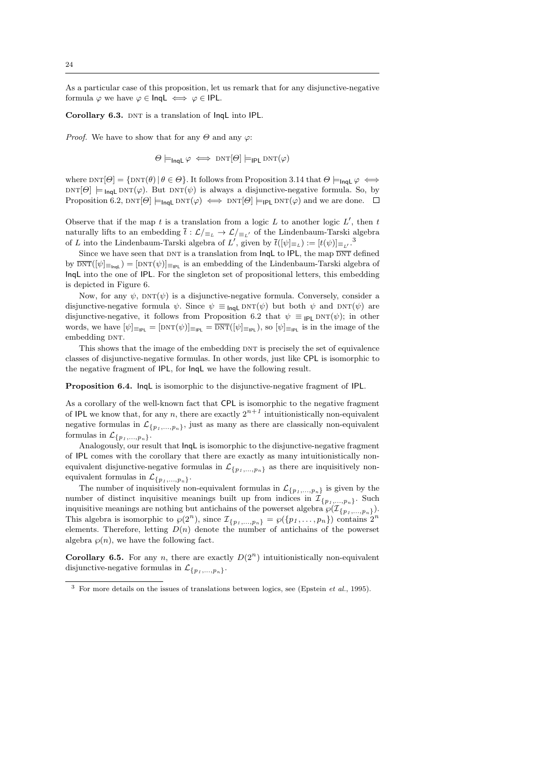As a particular case of this proposition, let us remark that for any disjunctive-negative formula  $\varphi$  we have  $\varphi \in \text{Inql} \iff \varphi \in \text{IPL}$ .

Corollary 6.3. DNT is a translation of  $InqL$  into IPL.

*Proof.* We have to show that for any  $\Theta$  and any  $\varphi$ :

 $\Theta \models_{\text{Ind}} \varphi \iff \text{DNT}[\Theta] \models_{\text{IPL}} \text{DNT}(\varphi)$ 

where  $DNT[\Theta] = \{DNT(\theta) | \theta \in \Theta\}$ . It follows from Proposition [3.14](#page-12-0) that  $\Theta \models_{\text{Ingl}} \varphi \iff$  $DNT[\Theta] \models_{\text{Inql}} DNT(\varphi)$ . But  $DNT(\psi)$  is always a disjunctive-negative formula. So, by Proposition [6.2,](#page-23-1)  $\text{DNT}[\Theta] \models_{\text{Ingl}} \text{DNT}(\varphi) \iff \text{DNT}[\Theta] \models_{\text{IPL}} \text{DNT}(\varphi)$  and we are done.

Observe that if the map t is a translation from a logic  $L$  to another logic  $L'$ , then t naturally lifts to an embedding  $\bar{t}: \mathcal{L}/_{\equiv_L} \to \mathcal{L}/_{\equiv_L'}$  of the Lindenbaum-Tarski algebra of L into the Lindenbaum-Tarski algebra of  $L'$ , given by  $\bar{t}([\psi]_{\equiv_L}) := [t(\psi)]_{\equiv_L'}$ .

Since we have seen that DNT is a translation from  $\text{Inql to IPL}$ , the map  $\overline{\text{DNT}}$  defined by  $\overline{DNT}(\psi)_{\equiv_{\text{Ind}}}) = [\text{DNT}(\psi)]_{\equiv_{\text{PL}}}$  is an embedding of the Lindenbaum-Tarski algebra of InqL into the one of IPL. For the singleton set of propositional letters, this embedding is depicted in Figure [6.](#page-24-1)

Now, for any  $\psi$ ,  $DT(\psi)$  is a disjunctive-negative formula. Conversely, consider a disjunctive-negative formula  $\psi$ . Since  $\psi \equiv \text{Ind} \text{DNT}(\psi)$  but both  $\psi$  and  $\text{DNT}(\psi)$  are disjunctive-negative, it follows from Proposition [6.2](#page-23-1) that  $\psi \equiv_{\text{IPL}} \text{DNT}(\psi)$ ; in other words, we have  $[\psi]_{\equiv_{\text{IPL}}} = [\text{DNT}(\psi)]_{\equiv_{\text{IPL}}} = \overline{\text{DNT}}([\psi]_{\equiv_{\text{IPL}}})$ , so  $[\psi]_{\equiv_{\text{IPL}}}$  is in the image of the embedding DNT.

This shows that the image of the embedding DNT is precisely the set of equivalence classes of disjunctive-negative formulas. In other words, just like CPL is isomorphic to the negative fragment of IPL, for InqL we have the following result.

<span id="page-24-1"></span>Proposition 6.4. InqL is isomorphic to the disjunctive-negative fragment of IPL.

As a corollary of the well-known fact that CPL is isomorphic to the negative fragment of IPL we know that, for any n, there are exactly  $2^{n+1}$  intuitionistically non-equivalent negative formulas in  $\mathcal{L}_{\{p_1,...,p_n\}}$ , just as many as there are classically non-equivalent formulas in  $\mathcal{L}_{\{p_1,...,p_n\}}$ .

Analogously, our result that InqL is isomorphic to the disjunctive-negative fragment of IPL comes with the corollary that there are exactly as many intuitionistically nonequivalent disjunctive-negative formulas in  $\mathcal{L}_{\{p_1,...,p_n\}}$  as there are inquisitively nonequivalent formulas in  $\mathcal{L}_{\{p_1,...,p_n\}}$ .

The number of inquisitively non-equivalent formulas in  $\mathcal{L}_{\{p_1,...,p_n\}}$  is given by the number of distinct inquisitive meanings built up from indices in  $\mathcal{I}_{\{p_1,...,p_n\}}$ . Such inquisitive meanings are nothing but antichains of the powerset algebra  $\wp(\mathcal{I}_{\{p_1,...,p_n\}})$ . This algebra is isomorphic to  $\wp(2^n)$ , since  $\mathcal{I}_{\{p_1,...,p_n\}} = \wp(\{p_1,...,p_n\})$  contains  $2^n$ elements. Therefore, letting  $D(n)$  denote the number of antichains of the powerset algebra  $\wp(n)$ , we have the following fact.

Corollary 6.5. For any n, there are exactly  $D(2^n)$  intuitionistically non-equivalent disjunctive-negative formulas in  $\mathcal{L}_{\{p_1,...,p_n\}}$ .

<span id="page-24-0"></span> $3$  For more details on the issues of translations between logics, see [\(Epstein](#page-33-17) et al., [1995\)](#page-33-17).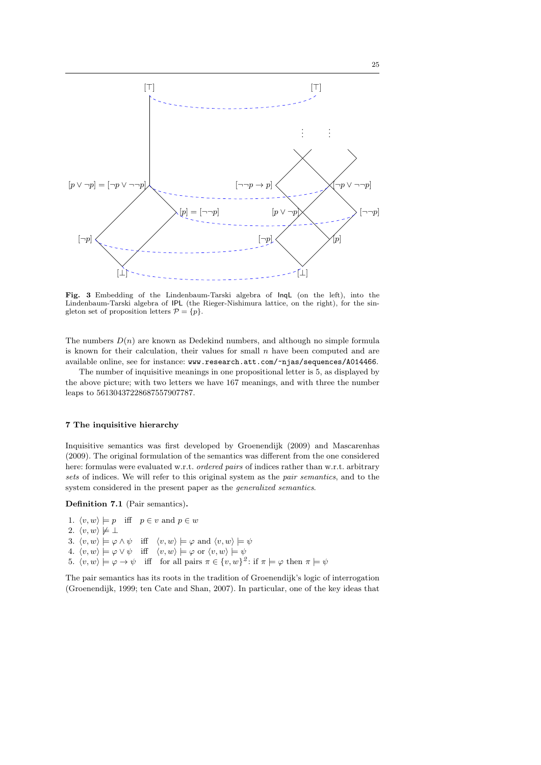

Fig. 3 Embedding of the Lindenbaum-Tarski algebra of InqL (on the left), into the Lindenbaum-Tarski algebra of IPL (the Rieger-Nishimura lattice, on the right), for the singleton set of proposition letters  $P = \{p\}.$ 

The numbers  $D(n)$  are known as Dedekind numbers, and although no simple formula is known for their calculation, their values for small  $n$  have been computed and are available online, see for instance: <www.research.att.com/~njas/sequences/A014466>.

The number of inquisitive meanings in one propositional letter is 5, as displayed by the above picture; with two letters we have 167 meanings, and with three the number leaps to 56130437228687557907787.

#### <span id="page-25-0"></span>7 The inquisitive hierarchy

Inquisitive semantics was first developed by [Groenendijk](#page-33-0) [\(2009\)](#page-33-0) and [Mascarenhas](#page-33-1) [\(2009\)](#page-33-1). The original formulation of the semantics was different from the one considered here: formulas were evaluated w.r.t. *ordered pairs* of indices rather than w.r.t. arbitrary sets of indices. We will refer to this original system as the pair semantics, and to the system considered in the present paper as the generalized semantics.

Definition 7.1 (Pair semantics).

1.  $\langle v, w \rangle \models p$  iff  $p \in v$  and  $p \in w$ 2.  $\langle v, w \rangle \not\models \bot$ 3.  $\langle v, w \rangle \models \varphi \land \psi$  iff  $\langle v, w \rangle \models \varphi$  and  $\langle v, w \rangle \models \psi$ 4.  $\langle v, w \rangle \models \varphi \lor \psi$  iff  $\langle v, w \rangle \models \varphi$  or  $\langle v, w \rangle \models \psi$ 5.  $\langle v, w \rangle \models \varphi \rightarrow \psi$  iff for all pairs  $\pi \in \{v, w\}^2$ : if  $\pi \models \varphi$  then  $\pi \models \psi$ 

The pair semantics has its roots in the tradition of Groenendijk's logic of interrogation [\(Groenendijk,](#page-33-18) [1999;](#page-33-18) [ten Cate and Shan,](#page-33-19) [2007\)](#page-33-19). In particular, one of the key ideas that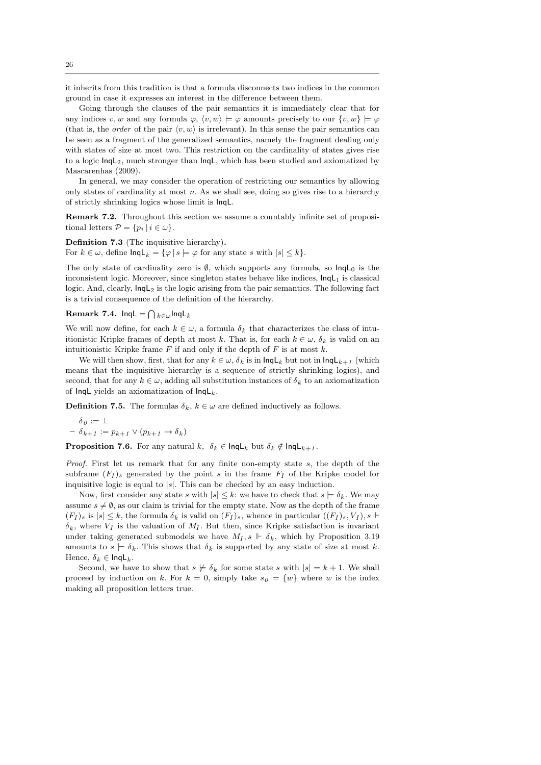it inherits from this tradition is that a formula disconnects two indices in the common ground in case it expresses an interest in the difference between them.

Going through the clauses of the pair semantics it is immediately clear that for any indices v, w and any formula  $\varphi, \langle v, w \rangle \models \varphi$  amounts precisely to our  $\{v, w\} \models \varphi$ (that is, the *order* of the pair  $\langle v, w \rangle$  is irrelevant). In this sense the pair semantics can be seen as a fragment of the generalized semantics, namely the fragment dealing only with states of size at most two. This restriction on the cardinality of states gives rise to a logic  $\text{Inql}_2$ , much stronger than  $\text{Inql}_3$ , which has been studied and axiomatized by [Mascarenhas](#page-33-1) [\(2009\)](#page-33-1).

In general, we may consider the operation of restricting our semantics by allowing only states of cardinality at most n. As we shall see, doing so gives rise to a hierarchy of strictly shrinking logics whose limit is InqL.

Remark 7.2. Throughout this section we assume a countably infinite set of propositional letters  $P = \{p_i \mid i \in \omega\}.$ 

Definition 7.3 (The inquisitive hierarchy).

For  $k \in \omega$ , define  $\text{Inql}_k = \{ \varphi \mid s \models \varphi \text{ for any state } s \text{ with } |s| \leq k \}.$ 

The only state of cardinality zero is  $\emptyset$ , which supports any formula, so  $\text{InqL}_0$  is the inconsistent logic. Moreover, since singleton states behave like indices,  $\text{InqL}_1$  is classical logic. And, clearly,  $\ln qL_2$  is the logic arising from the pair semantics. The following fact is a trivial consequence of the definition of the hierarchy.

 ${\bf Remark~7.4.}$  lnqL  $= \bigcap_{k\in\omega}$ lnqL $_k$ 

We will now define, for each  $k \in \omega$ , a formula  $\delta_k$  that characterizes the class of intuitionistic Kripke frames of depth at most k. That is, for each  $k \in \omega$ ,  $\delta_k$  is valid on an intuitionistic Kripke frame  $F$  if and only if the depth of  $F$  is at most  $k$ .

We will then show, first, that for any  $k \in \omega$ ,  $\delta_k$  is in  $\text{Inql}_k$  but not in  $\text{Inql}_{k+1}$  (which means that the inquisitive hierarchy is a sequence of strictly shrinking logics), and second, that for any  $k \in \omega$ , adding all substitution instances of  $\delta_k$  to an axiomatization of  $\textsf{Inql}$  yields an axiomatization of  $\textsf{Inql}_k$ .

**Definition 7.5.** The formulas  $\delta_k$ ,  $k \in \omega$  are defined inductively as follows.

$$
- \delta_0 := \bot
$$
  

$$
- \delta_{k+1} := p_{k+1} \vee (p_{k+1} \to \delta_k)
$$

**Proposition 7.6.** For any natural k,  $\delta_k \in \text{Inql}_k$  but  $\delta_k \notin \text{Inql}_{k+1}$ .

Proof. First let us remark that for any finite non-empty state s, the depth of the subframe  $(F_I)_s$  generated by the point s in the frame  $F_I$  of the Kripke model for inquisitive logic is equal to  $|s|$ . This can be checked by an easy induction.

Now, first consider any state s with  $|s| \leq k$ : we have to check that  $s \models \delta_k$ . We may assume  $s \neq \emptyset$ , as our claim is trivial for the empty state. Now as the depth of the frame  $(F_I)_s$  is  $|s| \leq k$ , the formula  $\delta_k$  is valid on  $(F_I)_s$ , whence in particular  $((F_I)_s, V_I), s \Vdash$  $\delta_k$ , where  $V_I$  is the valuation of  $M_I$ . But then, since Kripke satisfaction is invariant under taking generated submodels we have  $M_I, s \Vdash \delta_k$ , which by Proposition [3.19](#page-14-0) amounts to  $s \models \delta_k$ . This shows that  $\delta_k$  is supported by any state of size at most k. Hence,  $\delta_k \in \textsf{Inql}_k$ .

Second, we have to show that  $s \not\models \delta_k$  for some state s with  $|s| = k + 1$ . We shall proceed by induction on k. For  $k = 0$ , simply take  $s_0 = \{w\}$  where w is the index making all proposition letters true.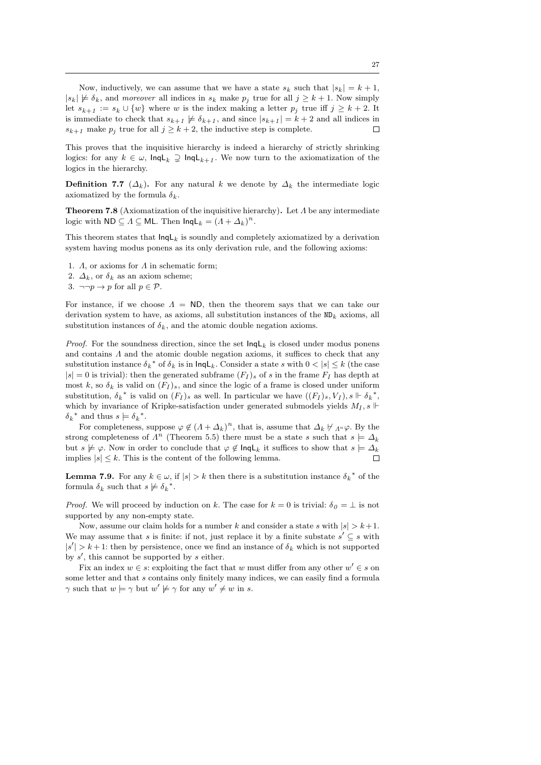Now, inductively, we can assume that we have a state  $s_k$  such that  $|s_k| = k + 1$ ,  $|s_k| \not\models \delta_k$ , and moreover all indices in  $s_k$  make  $p_j$  true for all  $j \geq k+1$ . Now simply let  $s_{k+1} := s_k \cup \{w\}$  where w is the index making a letter  $p_i$  true iff  $j \geq k+2$ . It is immediate to check that  $s_{k+1} \not\models \delta_{k+1}$ , and since  $|s_{k+1}| = k+2$  and all indices in  $s_{k+1}$  make  $p_j$  true for all  $j \geq k+2$ , the inductive step is complete.  $\Box$ 

This proves that the inquisitive hierarchy is indeed a hierarchy of strictly shrinking logics: for any  $k \in \omega$ ,  $\text{Inql}_k \supsetneq \text{Inql}_{k+1}$ . We now turn to the axiomatization of the logics in the hierarchy.

**Definition 7.7** ( $\Delta_k$ ). For any natural k we denote by  $\Delta_k$  the intermediate logic axiomatized by the formula  $\delta_k$ 

**Theorem 7.8** (Axiomatization of the inquisitive hierarchy). Let  $\Lambda$  be any intermediate logic with  $ND \subseteq A \subseteq ML$ . Then  $\mathsf{Inql}_k = (A + \Delta_k)^n$ .

This theorem states that  $\text{InqL}_k$  is soundly and completely axiomatized by a derivation system having modus ponens as its only derivation rule, and the following axioms:

- 1.  $\Lambda$ , or axioms for  $\Lambda$  in schematic form;
- 2.  $\Delta_k$ , or  $\delta_k$  as an axiom scheme;
- 3.  $\neg\neg p \rightarrow p$  for all  $p \in \mathcal{P}$ .

For instance, if we choose  $\Lambda = \text{ND}$ , then the theorem says that we can take our derivation system to have, as axioms, all substitution instances of the  $ND_k$  axioms, all substitution instances of  $\delta_k$ , and the atomic double negation axioms.

*Proof.* For the soundness direction, since the set  $\text{InqL}_k$  is closed under modus ponens and contains  $\Lambda$  and the atomic double negation axioms, it suffices to check that any substitution instance  $\delta_k^*$  of  $\delta_k$  is in  $\textsf{Inql}_k$ . Consider a state s with  $0 < |s| \leq k$  (the case  $|s| = 0$  is trivial): then the generated subframe  $(F_I)_s$  of s in the frame  $F_I$  has depth at most k, so  $\delta_k$  is valid on  $(F_I)_s$ , and since the logic of a frame is closed under uniform substitution,  $\delta_k^*$  is valid on  $(F_I)_s$  as well. In particular we have  $((F_I)_s, V_I), s \Vdash \delta_k^*$ , which by invariance of Kripke-satisfaction under generated submodels yields  $M_I$ ,  $s \Vdash$  $\delta_k^*$  and thus  $s \models \delta_k^*$ .

For completeness, suppose  $\varphi \notin (A + \Delta_k)^n$ , that is, assume that  $\Delta_k \not\vdash_{A^n} \varphi$ . By the strong completeness of  $\Lambda^n$  (Theorem [5.5\)](#page-22-0) there must be a state s such that  $s \models \Delta_k$ but  $s \not\models \varphi$ . Now in order to conclude that  $\varphi \notin \text{Inql}_k$  it suffices to show that  $s \models \Delta_k$ implies  $|s| \leq k$ . This is the content of the following lemma.

**Lemma 7.9.** For any  $k \in \omega$ , if  $|s| > k$  then there is a substitution instance  $\delta_k^*$  of the formula  $\delta_k$  such that  $s \not\models \delta_k^*$ .

*Proof.* We will proceed by induction on k. The case for  $k = 0$  is trivial:  $\delta_{\theta} = \bot$  is not supported by any non-empty state.

Now, assume our claim holds for a number k and consider a state s with  $|s| > k+1$ . We may assume that s is finite: if not, just replace it by a finite substate  $s' \subseteq s$  with  $|s'| > k+1$ : then by persistence, once we find an instance of  $\delta_k$  which is not supported by  $s'$ , this cannot be supported by  $s$  either.

Fix an index  $w \in s$ : exploiting the fact that w must differ from any other  $w' \in s$  on some letter and that s contains only finitely many indices, we can easily find a formula  $\gamma$  such that  $w \models \gamma$  but  $w' \not\models \gamma$  for any  $w' \neq w$  in s.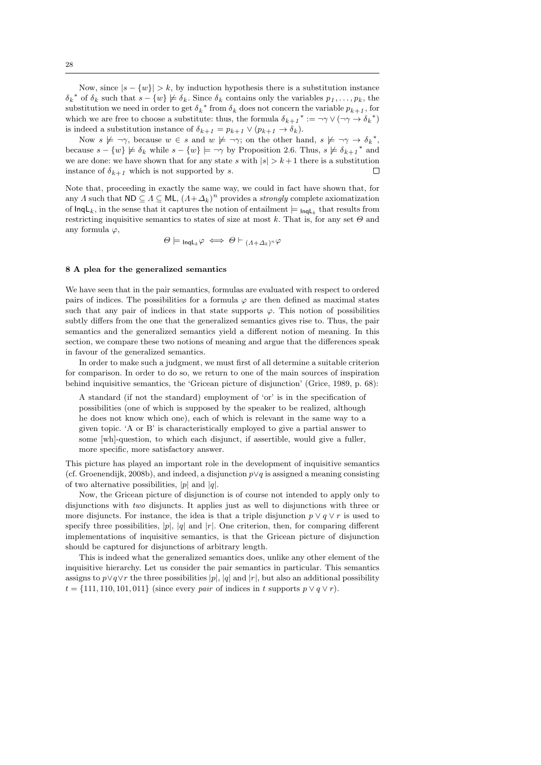Now, since  $|s - \{w\}| > k$ , by induction hypothesis there is a substitution instance  $\delta_k^*$  of  $\delta_k$  such that  $s - \{w\} \not\models \delta_k$ . Since  $\delta_k$  contains only the variables  $p_1, \ldots, p_k$ , the substitution we need in order to get  $\delta_k^*$  from  $\delta_k$  does not concern the variable  $p_{k+1}$ , for which we are free to choose a substitute: thus, the formula  $\delta_{k+1}^* := \neg \gamma \vee (\neg \gamma \to \delta_k^*)$ is indeed a substitution instance of  $\delta_{k+1} = p_{k+1} \vee (p_{k+1} \to \delta_k)$ .

Now  $s \not\models \neg \gamma$ , because  $w \in s$  and  $w \not\models \neg \gamma$ ; on the other hand,  $s \not\models \neg \gamma \rightarrow \delta_k^*$ , because  $s - \{w\} \not\models \delta_k$  while  $s - \{w\} \models \neg \gamma$  by Proposition [2.6.](#page-3-3) Thus,  $s \not\models \delta_{k+1}^*$  and we are done: we have shown that for any state s with  $|s| > k+1$  there is a substitution instance of  $\delta_{k+1}$  which is not supported by s.  $\Box$ 

Note that, proceeding in exactly the same way, we could in fact have shown that, for any  $\Lambda$  such that  $ND \subseteq \Lambda \subseteq ML$ ,  $(A + \Delta_k)^n$  provides a *strongly* complete axiomatization of  $\mathsf{Inql}_k$ , in the sense that it captures the notion of entailment  $\models \mathsf{Inql}_k$  that results from restricting inquisitive semantics to states of size at most k. That is, for any set  $\Theta$  and any formula  $\varphi$ ,

$$
\Theta \models \text{Inql}_k \varphi \iff \Theta \vdash_{(A+\Delta_k)^n} \varphi
$$

#### <span id="page-28-0"></span>8 A plea for the generalized semantics

We have seen that in the pair semantics, formulas are evaluated with respect to ordered pairs of indices. The possibilities for a formula  $\varphi$  are then defined as maximal states such that any pair of indices in that state supports  $\varphi$ . This notion of possibilities subtly differs from the one that the generalized semantics gives rise to. Thus, the pair semantics and the generalized semantics yield a different notion of meaning. In this section, we compare these two notions of meaning and argue that the differences speak in favour of the generalized semantics.

In order to make such a judgment, we must first of all determine a suitable criterion for comparison. In order to do so, we return to one of the main sources of inspiration behind inquisitive semantics, the 'Gricean picture of disjunction' [\(Grice,](#page-33-20) [1989,](#page-33-20) p. 68):

A standard (if not the standard) employment of 'or' is in the specification of possibilities (one of which is supposed by the speaker to be realized, although he does not know which one), each of which is relevant in the same way to a given topic. 'A or B' is characteristically employed to give a partial answer to some [wh]-question, to which each disjunct, if assertible, would give a fuller, more specific, more satisfactory answer.

This picture has played an important role in the development of inquisitive semantics (cf. [Groenendijk,](#page-33-21) [2008b\)](#page-33-21), and indeed, a disjunction  $p\vee q$  is assigned a meaning consisting of two alternative possibilities,  $|p|$  and  $|q|$ .

Now, the Gricean picture of disjunction is of course not intended to apply only to disjunctions with two disjuncts. It applies just as well to disjunctions with three or more disjuncts. For instance, the idea is that a triple disjunction  $p \vee q \vee r$  is used to specify three possibilities,  $|p|$ ,  $|q|$  and  $|r|$ . One criterion, then, for comparing different implementations of inquisitive semantics, is that the Gricean picture of disjunction should be captured for disjunctions of arbitrary length.

This is indeed what the generalized semantics does, unlike any other element of the inquisitive hierarchy. Let us consider the pair semantics in particular. This semantics assigns to  $p \vee q \vee r$  the three possibilities  $|p|, |q|$  and  $|r|$ , but also an additional possibility  $t = \{111, 110, 101, 011\}$  (since every pair of indices in t supports  $p \vee q \vee r$ ).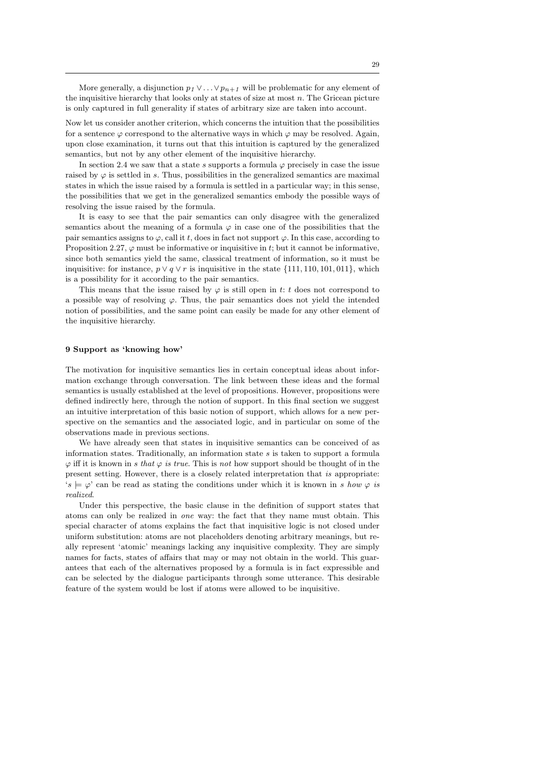More generally, a disjunction  $p_1 \vee \ldots \vee p_{n+1}$  will be problematic for any element of the inquisitive hierarchy that looks only at states of size at most  $n$ . The Gricean picture is only captured in full generality if states of arbitrary size are taken into account.

Now let us consider another criterion, which concerns the intuition that the possibilities for a sentence  $\varphi$  correspond to the alternative ways in which  $\varphi$  may be resolved. Again, upon close examination, it turns out that this intuition is captured by the generalized semantics, but not by any other element of the inquisitive hierarchy.

In section [2.4](#page-8-0) we saw that a state s supports a formula  $\varphi$  precisely in case the issue raised by  $\varphi$  is settled in s. Thus, possibilities in the generalized semantics are maximal states in which the issue raised by a formula is settled in a particular way; in this sense, the possibilities that we get in the generalized semantics embody the possible ways of resolving the issue raised by the formula.

It is easy to see that the pair semantics can only disagree with the generalized semantics about the meaning of a formula  $\varphi$  in case one of the possibilities that the pair semantics assigns to  $\varphi$ , call it t, does in fact not support  $\varphi$ . In this case, according to Proposition [2.27,](#page-9-2)  $\varphi$  must be informative or inquisitive in t; but it cannot be informative, since both semantics yield the same, classical treatment of information, so it must be inquisitive: for instance,  $p \vee q \vee r$  is inquisitive in the state  $\{111, 110, 101, 011\}$ , which is a possibility for it according to the pair semantics.

This means that the issue raised by  $\varphi$  is still open in t: t does not correspond to a possible way of resolving  $\varphi$ . Thus, the pair semantics does not yield the intended notion of possibilities, and the same point can easily be made for any other element of the inquisitive hierarchy.

#### <span id="page-29-0"></span>9 Support as 'knowing how'

The motivation for inquisitive semantics lies in certain conceptual ideas about information exchange through conversation. The link between these ideas and the formal semantics is usually established at the level of propositions. However, propositions were defined indirectly here, through the notion of support. In this final section we suggest an intuitive interpretation of this basic notion of support, which allows for a new perspective on the semantics and the associated logic, and in particular on some of the observations made in previous sections.

We have already seen that states in inquisitive semantics can be conceived of as information states. Traditionally, an information state  $s$  is taken to support a formula  $\varphi$  iff it is known in s that  $\varphi$  is true. This is not how support should be thought of in the present setting. However, there is a closely related interpretation that is appropriate: 's  $\neq \varphi$ ' can be read as stating the conditions under which it is known in s how  $\varphi$  is realized.

Under this perspective, the basic clause in the definition of support states that atoms can only be realized in one way: the fact that they name must obtain. This special character of atoms explains the fact that inquisitive logic is not closed under uniform substitution: atoms are not placeholders denoting arbitrary meanings, but really represent 'atomic' meanings lacking any inquisitive complexity. They are simply names for facts, states of affairs that may or may not obtain in the world. This guarantees that each of the alternatives proposed by a formula is in fact expressible and can be selected by the dialogue participants through some utterance. This desirable feature of the system would be lost if atoms were allowed to be inquisitive.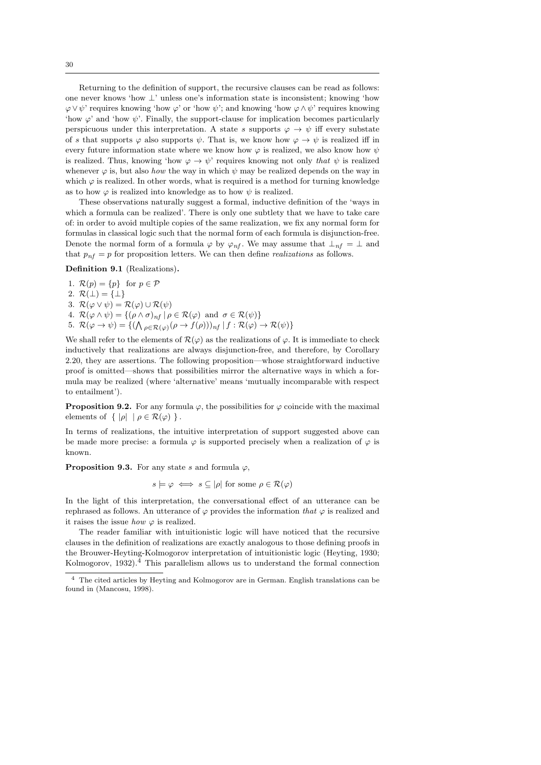Returning to the definition of support, the recursive clauses can be read as follows: one never knows 'how ⊥' unless one's information state is inconsistent; knowing 'how  $\varphi \vee \psi'$  requires knowing 'how  $\varphi'$  or 'how  $\psi'$ ; and knowing 'how  $\varphi \wedge \psi'$  requires knowing 'how  $\varphi$ ' and 'how  $\psi$ '. Finally, the support-clause for implication becomes particularly perspicuous under this interpretation. A state s supports  $\varphi \to \psi$  iff every substate of s that supports  $\varphi$  also supports  $\psi$ . That is, we know how  $\varphi \to \psi$  is realized iff in every future information state where we know how  $\varphi$  is realized, we also know how  $\psi$ is realized. Thus, knowing 'how  $\varphi \to \psi'$  requires knowing not only that  $\psi$  is realized whenever  $\varphi$  is, but also *how* the way in which  $\psi$  may be realized depends on the way in which  $\varphi$  is realized. In other words, what is required is a method for turning knowledge as to how  $\varphi$  is realized into knowledge as to how  $\psi$  is realized.

These observations naturally suggest a formal, inductive definition of the 'ways in which a formula can be realized'. There is only one subtlety that we have to take care of: in order to avoid multiple copies of the same realization, we fix any normal form for formulas in classical logic such that the normal form of each formula is disjunction-free. Denote the normal form of a formula  $\varphi$  by  $\varphi_{nf}$ . We may assume that  $\bot_{nf} = \bot$  and that  $p_{nf} = p$  for proposition letters. We can then define *realizations* as follows.

Definition 9.1 (Realizations).

1.  $\mathcal{R}(p) = \{p\}$  for  $p \in \mathcal{P}$ 2.  $\mathcal{R}(\perp) = {\perp}$ 3.  $\mathcal{R}(\varphi \vee \psi) = \mathcal{R}(\varphi) \cup \mathcal{R}(\psi)$ 4.  $\mathcal{R}(\varphi \wedge \psi) = \{(\rho \wedge \sigma)_{nf} | \rho \in \mathcal{R}(\varphi) \text{ and } \sigma \in \mathcal{R}(\psi)\}\$ 5.  $\mathcal{R}(\varphi \to \psi) = \{ (\bigwedge_{\rho \in \mathcal{R}(\varphi)} (\rho \to f(\rho)))_{n} \mid f : \mathcal{R}(\varphi) \to \mathcal{R}(\psi) \}$ 

We shall refer to the elements of  $\mathcal{R}(\varphi)$  as the realizations of  $\varphi$ . It is immediate to check inductively that realizations are always disjunction-free, and therefore, by Corollary [2.20,](#page-7-3) they are assertions. The following proposition—whose straightforward inductive proof is omitted—shows that possibilities mirror the alternative ways in which a formula may be realized (where 'alternative' means 'mutually incomparable with respect to entailment').

**Proposition 9.2.** For any formula  $\varphi$ , the possibilities for  $\varphi$  coincide with the maximal elements of  $\{ |\rho| \mid \rho \in \mathcal{R}(\varphi) \}$ .

In terms of realizations, the intuitive interpretation of support suggested above can be made more precise: a formula  $\varphi$  is supported precisely when a realization of  $\varphi$  is known.

**Proposition 9.3.** For any state s and formula  $\varphi$ ,

$$
s \models \varphi \iff s \subseteq |\rho| \text{ for some } \rho \in \mathcal{R}(\varphi)
$$

In the light of this interpretation, the conversational effect of an utterance can be rephrased as follows. An utterance of  $\varphi$  provides the information that  $\varphi$  is realized and it raises the issue *how*  $\varphi$  is realized.

The reader familiar with intuitionistic logic will have noticed that the recursive clauses in the definition of realizations are exactly analogous to those defining proofs in the Brouwer-Heyting-Kolmogorov interpretation of intuitionistic logic [\(Heyting,](#page-33-22) [1930;](#page-33-22) [Kolmogorov,](#page-33-23) [1932\)](#page-33-23).<sup>[4](#page-30-0)</sup> This parallelism allows us to understand the formal connection

<span id="page-30-0"></span> $^4\,$  The cited articles by Heyting and Kolmogorov are in German. English translations can be found in [\(Mancosu,](#page-33-24) [1998\)](#page-33-24).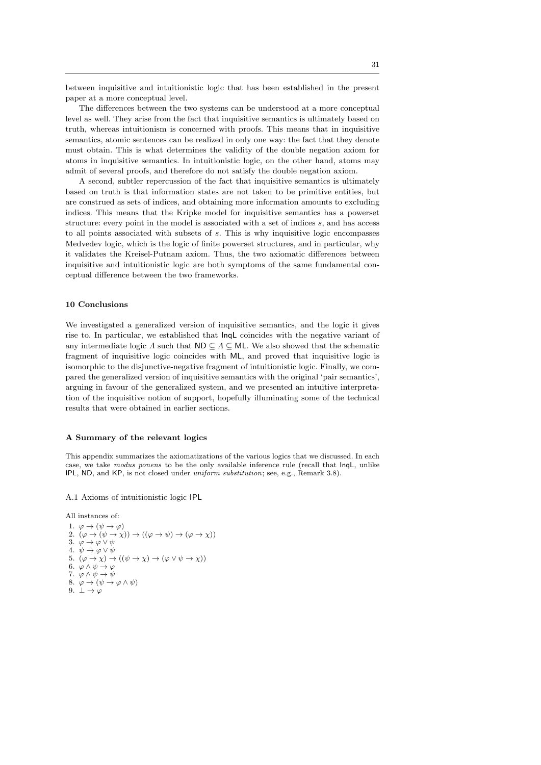between inquisitive and intuitionistic logic that has been established in the present paper at a more conceptual level.

The differences between the two systems can be understood at a more conceptual level as well. They arise from the fact that inquisitive semantics is ultimately based on truth, whereas intuitionism is concerned with proofs. This means that in inquisitive semantics, atomic sentences can be realized in only one way: the fact that they denote must obtain. This is what determines the validity of the double negation axiom for atoms in inquisitive semantics. In intuitionistic logic, on the other hand, atoms may admit of several proofs, and therefore do not satisfy the double negation axiom.

A second, subtler repercussion of the fact that inquisitive semantics is ultimately based on truth is that information states are not taken to be primitive entities, but are construed as sets of indices, and obtaining more information amounts to excluding indices. This means that the Kripke model for inquisitive semantics has a powerset structure: every point in the model is associated with a set of indices s, and has access to all points associated with subsets of s. This is why inquisitive logic encompasses Medvedev logic, which is the logic of finite powerset structures, and in particular, why it validates the Kreisel-Putnam axiom. Thus, the two axiomatic differences between inquisitive and intuitionistic logic are both symptoms of the same fundamental conceptual difference between the two frameworks.

#### 10 Conclusions

We investigated a generalized version of inquisitive semantics, and the logic it gives rise to. In particular, we established that InqL coincides with the negative variant of any intermediate logic  $\Lambda$  such that  $ND \subseteq \Lambda \subseteq ML$ . We also showed that the schematic fragment of inquisitive logic coincides with ML, and proved that inquisitive logic is isomorphic to the disjunctive-negative fragment of intuitionistic logic. Finally, we compared the generalized version of inquisitive semantics with the original 'pair semantics', arguing in favour of the generalized system, and we presented an intuitive interpretation of the inquisitive notion of support, hopefully illuminating some of the technical results that were obtained in earlier sections.

#### A Summary of the relevant logics

This appendix summarizes the axiomatizations of the various logics that we discussed. In each case, we take modus ponens to be the only available inference rule (recall that InqL, unlike IPL, ND, and KP, is not closed under uniform substitution; see, e.g., Remark [3.8\)](#page-10-1).

A.1 Axioms of intuitionistic logic IPL

All instances of:

1.  $\varphi \to (\psi \to \varphi)$ 2.  $(\varphi \to (\psi \to \chi)) \to ((\varphi \to \psi) \to (\varphi \to \chi))$ 3.  $\varphi \to \varphi \vee \psi$ 4.  $\psi \rightarrow \varphi \vee \psi$ 5.  $(\varphi \to \chi) \to ((\psi \to \chi) \to (\varphi \lor \psi \to \chi))$ 6.  $\varphi \wedge \psi \rightarrow \varphi$ 7.  $\varphi \wedge \psi \rightarrow \psi$ 8.  $\varphi \to (\psi \to \varphi \wedge \psi)$ 9.  $\perp \rightarrow \varphi$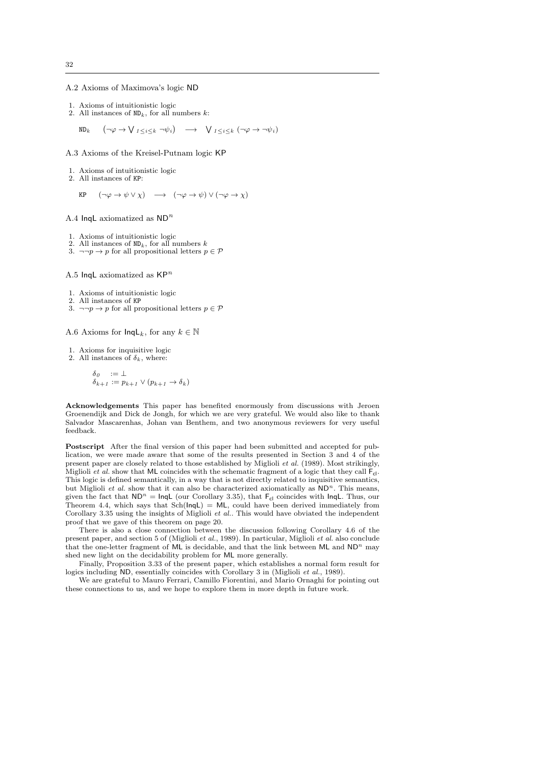#### A.2 Axioms of Maximova's logic ND

- 1. Axioms of intuitionistic logic
- 2. All instances of  $ND_k$ , for all numbers k:

$$
\mathtt{ND}_k \qquad (\neg \varphi \to \bigvee \iota_{\leq i \leq k} \neg \psi_i) \quad \longrightarrow \quad \bigvee \iota_{\leq i \leq k} (\neg \varphi \to \neg \psi_i)
$$

A.3 Axioms of the Kreisel-Putnam logic KP

- 1. Axioms of intuitionistic logic
- 2. All instances of KP:

KP  $(\neg \varphi \rightarrow \psi \vee \chi) \rightarrow (\neg \varphi \rightarrow \psi) \vee (\neg \varphi \rightarrow \chi)$ 

#### A.4 InqL axiomatized as  $ND<sup>n</sup>$

- 1. Axioms of intuitionistic logic
- 2. All instances of  $ND_k$ , for all numbers k
- 3. ¬¬p  $\rightarrow$  p for all propositional letters  $p \in \mathcal{P}$

A.5  $\ln q$ L axiomatized as  $KP^n$ 

- 1. Axioms of intuitionistic logic
- 2. All instances of KP
- 3.  $\neg\neg p \rightarrow p$  for all propositional letters  $p \in \mathcal{P}$

#### A.6 Axioms for  $\text{InqL}_k$ , for any  $k \in \mathbb{N}$

1. Axioms for inquisitive logic

2. All instances of  $\delta_k,$  where:

$$
\begin{array}{l}\n\delta_0 & := \bot \\
\delta_{k+1} & := p_{k+1} \vee (p_{k+1} \to \delta_k)\n\end{array}
$$

Acknowledgements This paper has benefited enormously from discussions with Jeroen Groenendijk and Dick de Jongh, for which we are very grateful. We would also like to thank Salvador Mascarenhas, Johan van Benthem, and two anonymous reviewers for very useful feedback.

Postscript After the final version of this paper had been submitted and accepted for publication, we were made aware that some of the results presented in Section [3](#page-9-0) and [4](#page-18-0) of the present paper are closely related to those established by [Miglioli](#page-33-25) et al. [\(1989\)](#page-33-25). Most strikingly, [Miglioli](#page-33-25) *et al.* show that ML coincides with the schematic fragment of a logic that they call  $F_{cl}$ . This logic is defined semantically, in a way that is not directly related to inquisitive semantics, but [Miglioli](#page-33-25) et al. show that it can also be characterized axiomatically as  $ND<sup>n</sup>$ . This means, given the fact that  $ND^n = InqL$  (our Corollary [3.35\)](#page-18-2), that  $F_{cl}$  coincides with InqL. Thus, our Theorem [4.4,](#page-19-0) which says that  $Sch(\text{Inql}) = \text{ML}$ , could have been derived immediately from Corollary [3.35](#page-18-2) using the insights of [Miglioli](#page-33-25) et al.. This would have obviated the independent proof that we gave of this theorem on page [20.](#page-20-1)

There is also a close connection between the discussion following Corollary [4.6](#page-20-0) of the present paper, and section 5 of [\(Miglioli](#page-33-25) et al., [1989\)](#page-33-25). In particular, [Miglioli](#page-33-25) et al. also conclude that the one-letter fragment of ML is decidable, and that the link between ML and  $ND<sup>n</sup>$  may shed new light on the decidability problem for ML more generally.

Finally, Proposition [3.33](#page-18-1) of the present paper, which establishes a normal form result for logics including ND, essentially coincides with Corollary 3 in [\(Miglioli](#page-33-25) *et al.*, [1989\)](#page-33-25).

We are grateful to Mauro Ferrari, Camillo Fiorentini, and Mario Ornaghi for pointing out these connections to us, and we hope to explore them in more depth in future work.